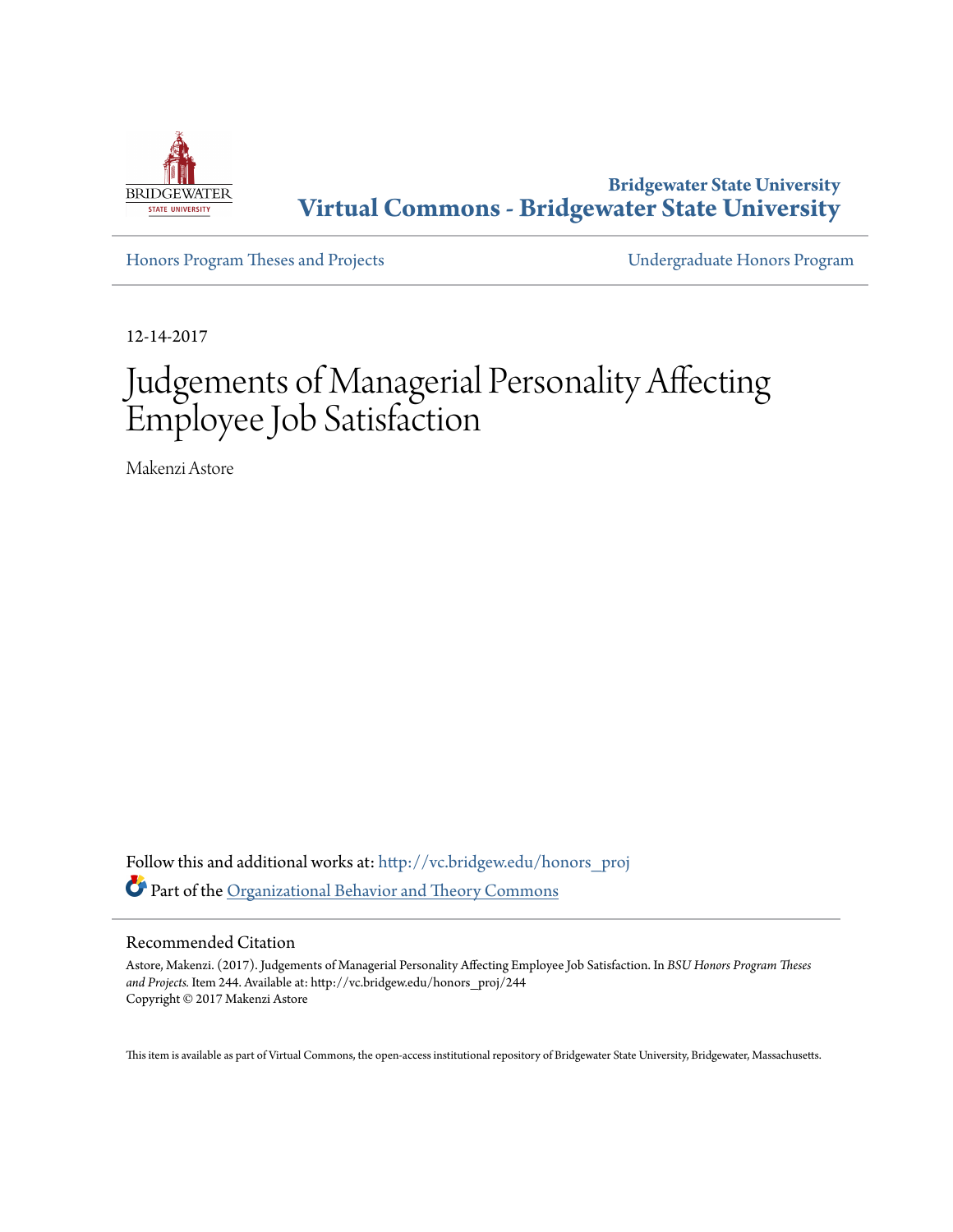

**Bridgewater State University [Virtual Commons - Bridgewater State University](http://vc.bridgew.edu?utm_source=vc.bridgew.edu%2Fhonors_proj%2F244&utm_medium=PDF&utm_campaign=PDFCoverPages)**

[Honors Program Theses and Projects](http://vc.bridgew.edu/honors_proj?utm_source=vc.bridgew.edu%2Fhonors_proj%2F244&utm_medium=PDF&utm_campaign=PDFCoverPages) [Undergraduate Honors Program](http://vc.bridgew.edu/honors?utm_source=vc.bridgew.edu%2Fhonors_proj%2F244&utm_medium=PDF&utm_campaign=PDFCoverPages)

12-14-2017

# Judgements of Managerial Personality Affecting Employee Job Satisfaction

Makenzi Astore

Follow this and additional works at: [http://vc.bridgew.edu/honors\\_proj](http://vc.bridgew.edu/honors_proj?utm_source=vc.bridgew.edu%2Fhonors_proj%2F244&utm_medium=PDF&utm_campaign=PDFCoverPages) Part of the [Organizational Behavior and Theory Commons](http://network.bepress.com/hgg/discipline/639?utm_source=vc.bridgew.edu%2Fhonors_proj%2F244&utm_medium=PDF&utm_campaign=PDFCoverPages)

#### Recommended Citation

Astore, Makenzi. (2017). Judgements of Managerial Personality Affecting Employee Job Satisfaction. In *BSU Honors Program Theses and Projects.* Item 244. Available at: http://vc.bridgew.edu/honors\_proj/244 Copyright © 2017 Makenzi Astore

This item is available as part of Virtual Commons, the open-access institutional repository of Bridgewater State University, Bridgewater, Massachusetts.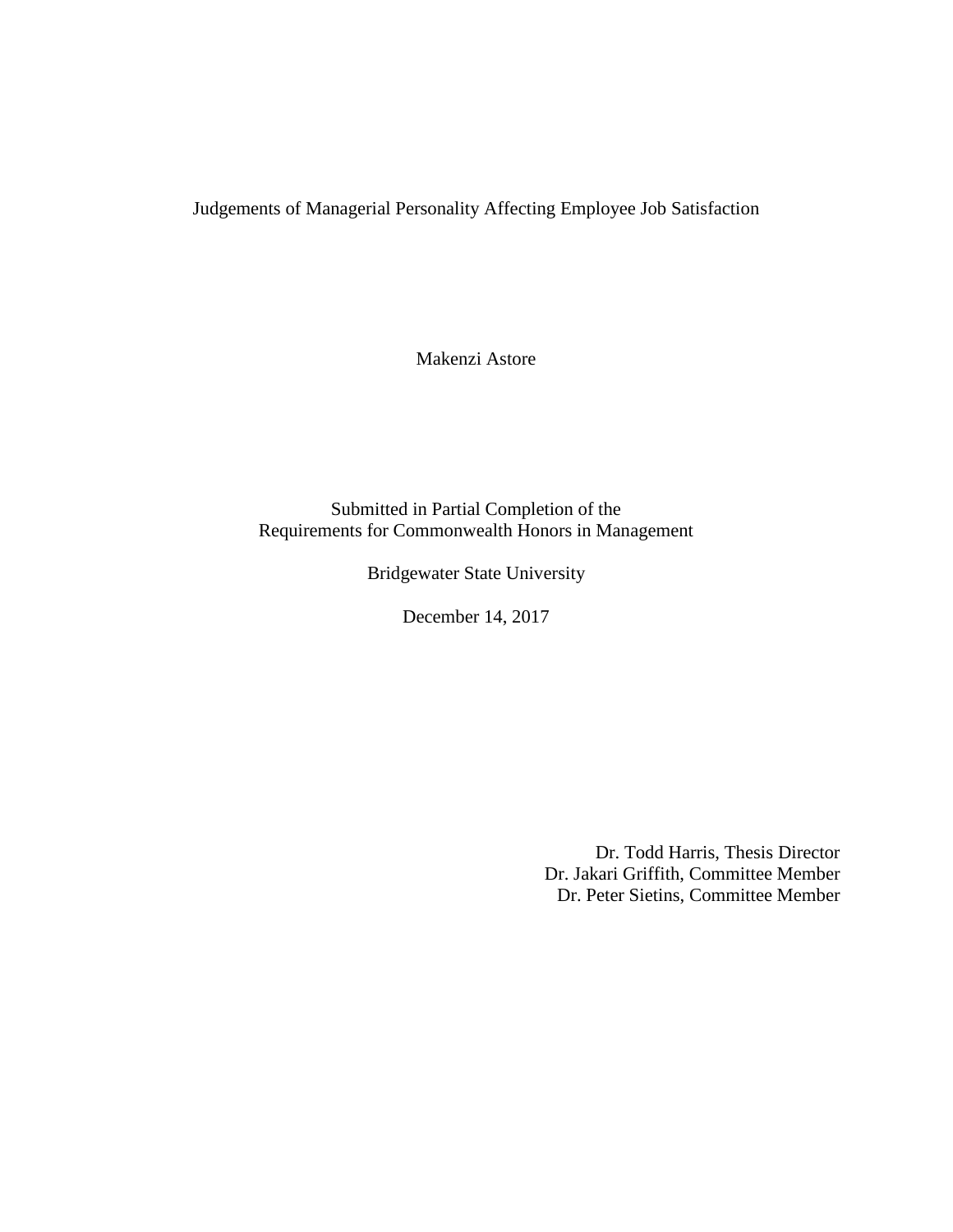Judgements of Managerial Personality Affecting Employee Job Satisfaction

Makenzi Astore

Submitted in Partial Completion of the Requirements for Commonwealth Honors in Management

Bridgewater State University

December 14, 2017

Dr. Todd Harris, Thesis Director Dr. Jakari Griffith, Committee Member Dr. Peter Sietins, Committee Member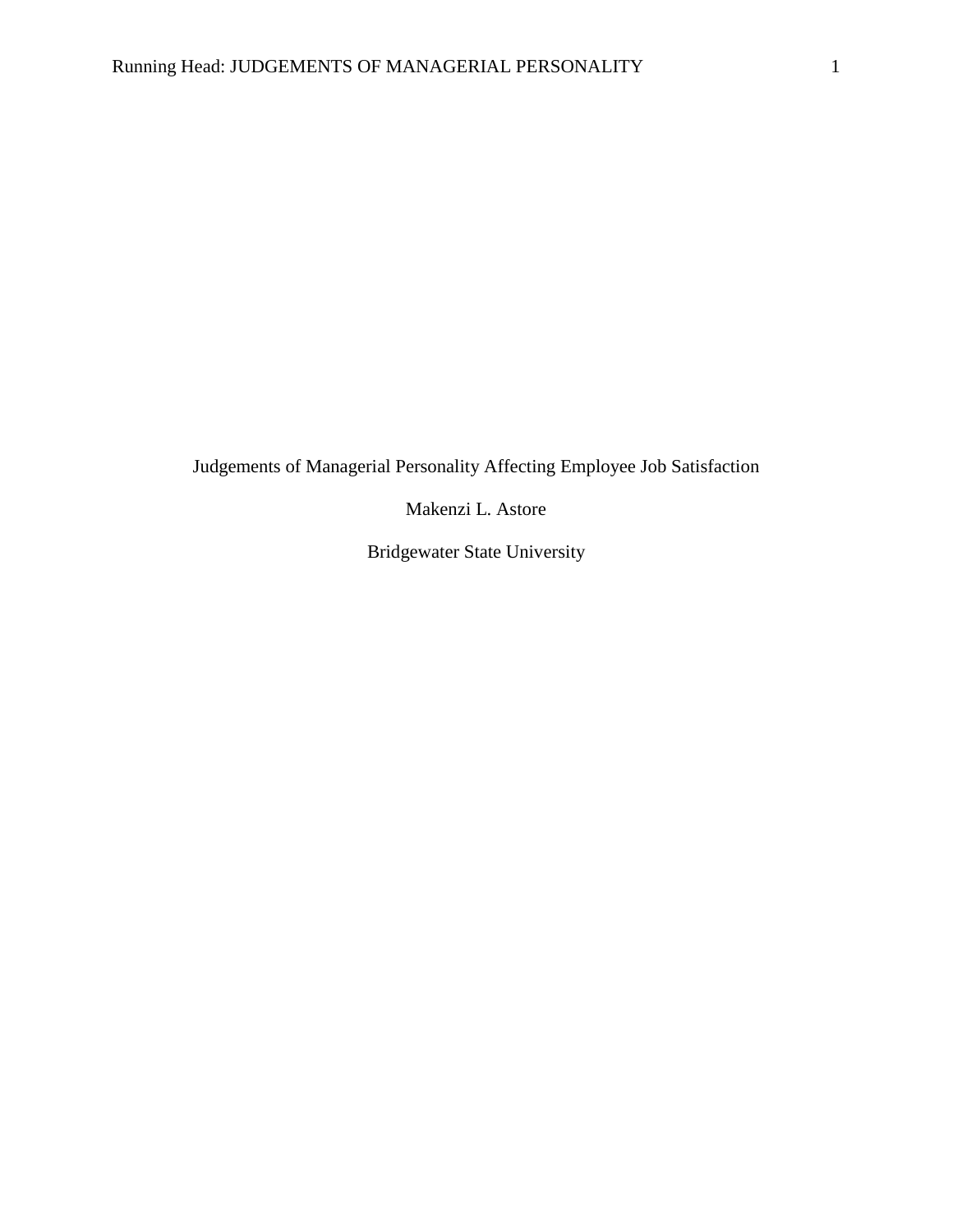Judgements of Managerial Personality Affecting Employee Job Satisfaction

Makenzi L. Astore

Bridgewater State University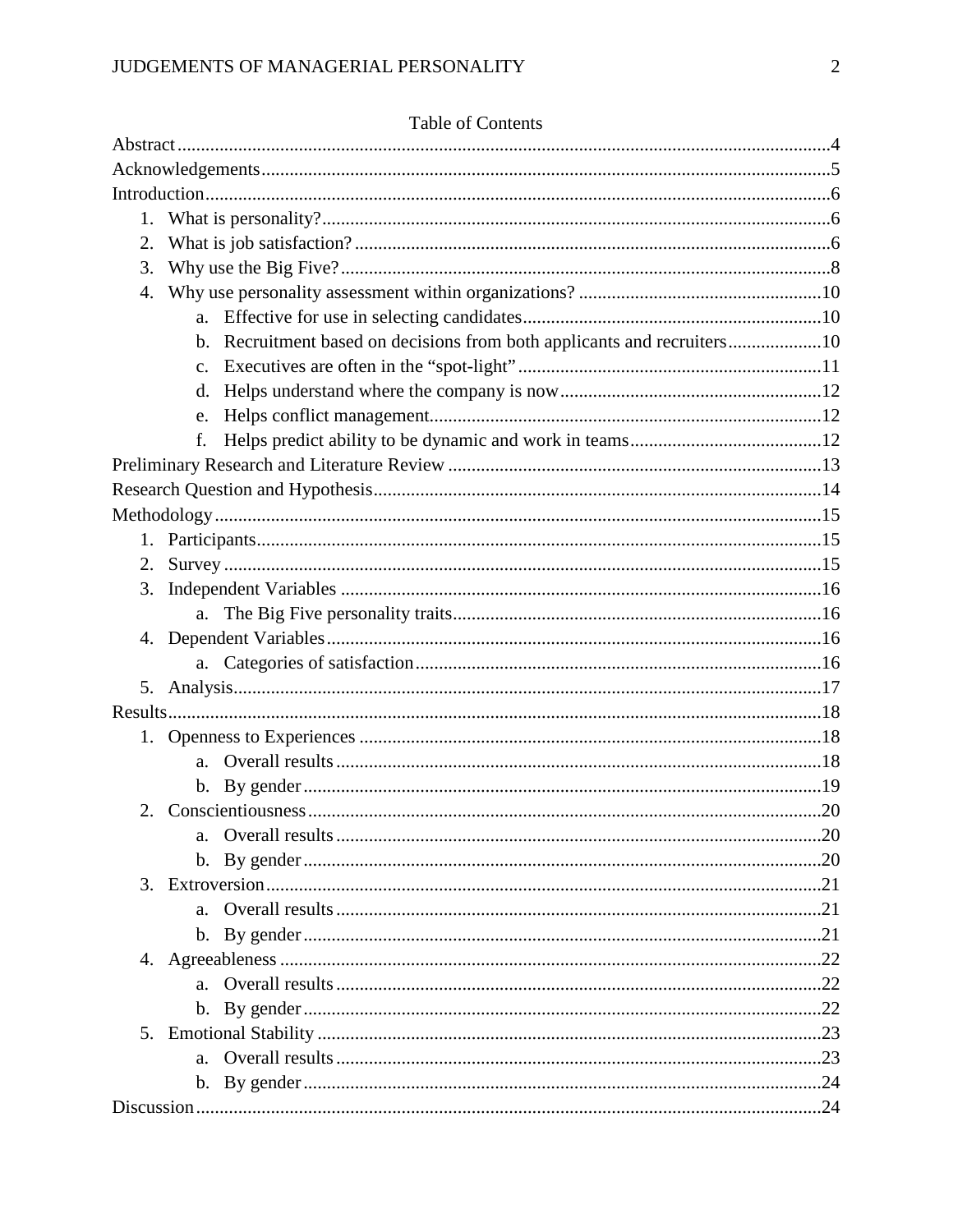| 2.          |             |                                                                         |  |
|-------------|-------------|-------------------------------------------------------------------------|--|
| 3.          |             |                                                                         |  |
| 4.          |             |                                                                         |  |
|             |             |                                                                         |  |
|             |             | b. Recruitment based on decisions from both applicants and recruiters10 |  |
|             |             |                                                                         |  |
|             | $d_{\cdot}$ |                                                                         |  |
|             | e.          |                                                                         |  |
|             |             |                                                                         |  |
|             |             |                                                                         |  |
|             |             |                                                                         |  |
|             |             |                                                                         |  |
|             |             |                                                                         |  |
| 2.          |             |                                                                         |  |
| 3.          |             |                                                                         |  |
|             |             |                                                                         |  |
|             |             |                                                                         |  |
|             |             |                                                                         |  |
| 5.          |             |                                                                         |  |
|             |             |                                                                         |  |
|             |             |                                                                         |  |
|             | a.          |                                                                         |  |
|             |             |                                                                         |  |
| $2_{\cdot}$ |             |                                                                         |  |
|             | $a_{-}$     |                                                                         |  |
|             |             |                                                                         |  |
|             |             |                                                                         |  |
|             | $a_{-}$     |                                                                         |  |
|             |             |                                                                         |  |
|             |             |                                                                         |  |
|             |             |                                                                         |  |
|             |             |                                                                         |  |
|             |             |                                                                         |  |
|             |             |                                                                         |  |
|             |             |                                                                         |  |
|             |             |                                                                         |  |

# Table of Contents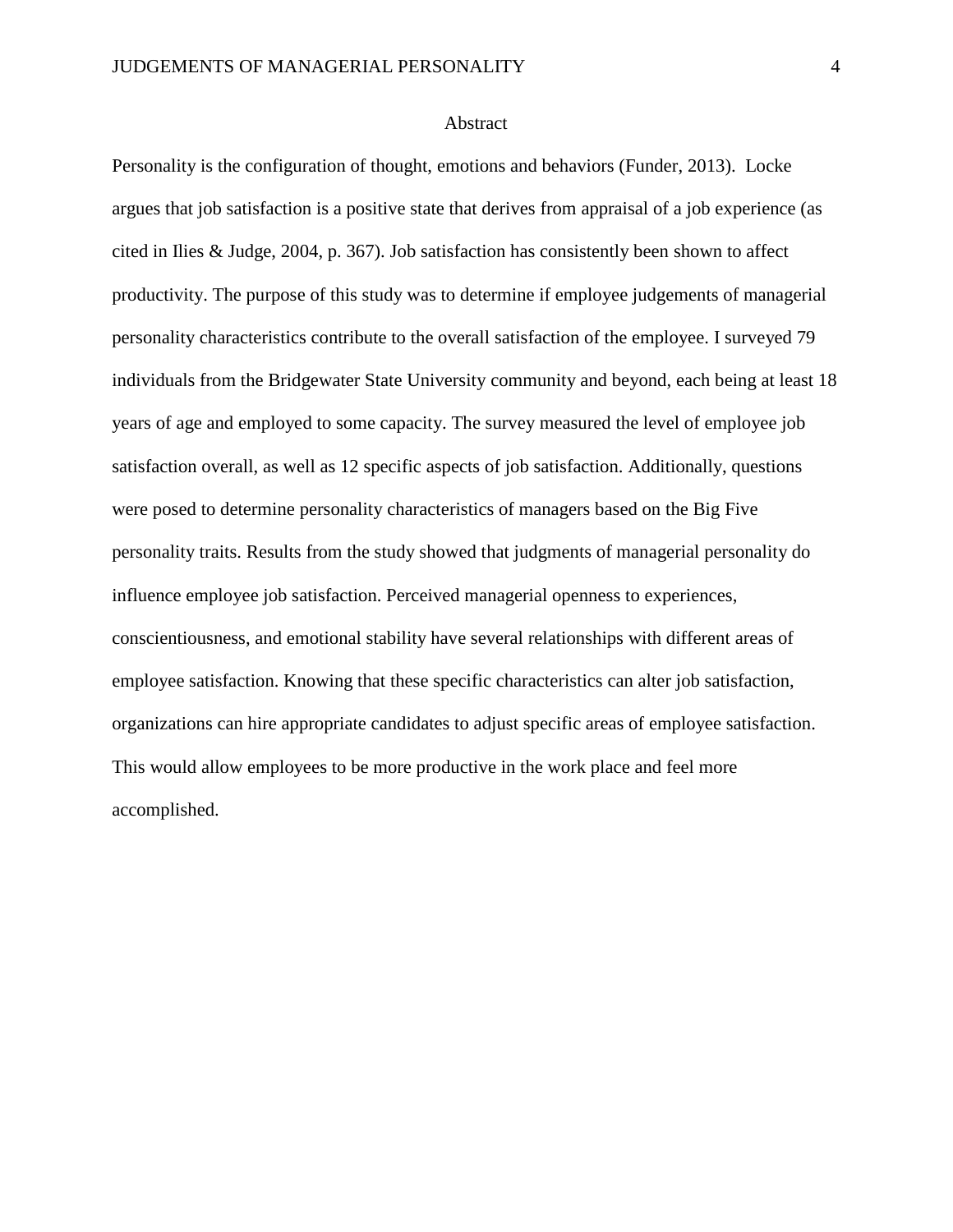#### Abstract

Personality is the configuration of thought, emotions and behaviors (Funder, 2013). Locke argues that job satisfaction is a positive state that derives from appraisal of a job experience (as cited in Ilies & Judge, 2004, p. 367). Job satisfaction has consistently been shown to affect productivity. The purpose of this study was to determine if employee judgements of managerial personality characteristics contribute to the overall satisfaction of the employee. I surveyed 79 individuals from the Bridgewater State University community and beyond, each being at least 18 years of age and employed to some capacity. The survey measured the level of employee job satisfaction overall, as well as 12 specific aspects of job satisfaction. Additionally, questions were posed to determine personality characteristics of managers based on the Big Five personality traits. Results from the study showed that judgments of managerial personality do influence employee job satisfaction. Perceived managerial openness to experiences, conscientiousness, and emotional stability have several relationships with different areas of employee satisfaction. Knowing that these specific characteristics can alter job satisfaction, organizations can hire appropriate candidates to adjust specific areas of employee satisfaction. This would allow employees to be more productive in the work place and feel more accomplished.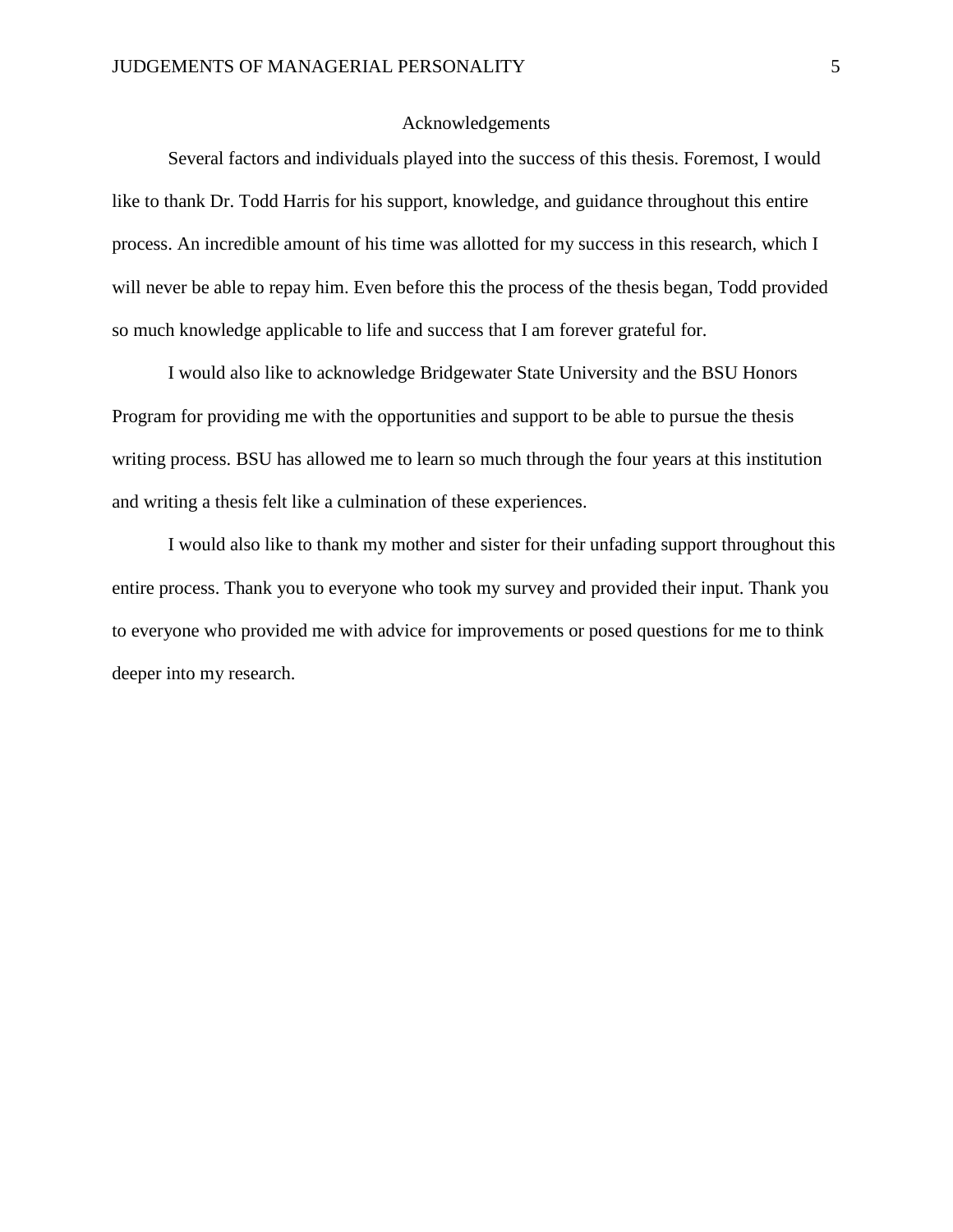#### Acknowledgements

Several factors and individuals played into the success of this thesis. Foremost, I would like to thank Dr. Todd Harris for his support, knowledge, and guidance throughout this entire process. An incredible amount of his time was allotted for my success in this research, which I will never be able to repay him. Even before this the process of the thesis began, Todd provided so much knowledge applicable to life and success that I am forever grateful for.

I would also like to acknowledge Bridgewater State University and the BSU Honors Program for providing me with the opportunities and support to be able to pursue the thesis writing process. BSU has allowed me to learn so much through the four years at this institution and writing a thesis felt like a culmination of these experiences.

I would also like to thank my mother and sister for their unfading support throughout this entire process. Thank you to everyone who took my survey and provided their input. Thank you to everyone who provided me with advice for improvements or posed questions for me to think deeper into my research.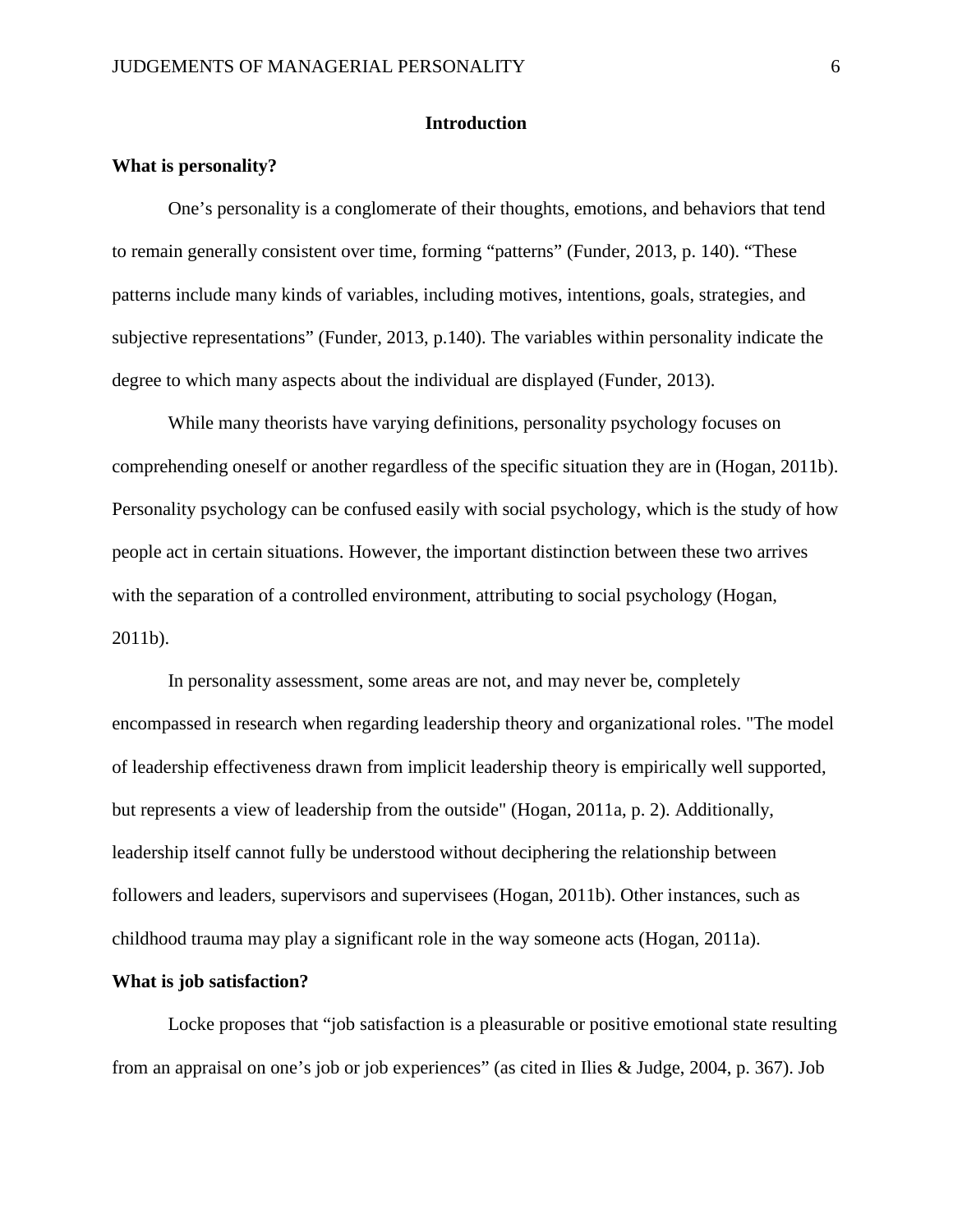#### **Introduction**

#### **What is personality?**

One's personality is a conglomerate of their thoughts, emotions, and behaviors that tend to remain generally consistent over time, forming "patterns" (Funder, 2013, p. 140). "These patterns include many kinds of variables, including motives, intentions, goals, strategies, and subjective representations" (Funder, 2013, p.140). The variables within personality indicate the degree to which many aspects about the individual are displayed (Funder, 2013).

While many theorists have varying definitions, personality psychology focuses on comprehending oneself or another regardless of the specific situation they are in (Hogan, 2011b). Personality psychology can be confused easily with social psychology, which is the study of how people act in certain situations. However, the important distinction between these two arrives with the separation of a controlled environment, attributing to social psychology (Hogan, 2011b).

In personality assessment, some areas are not, and may never be, completely encompassed in research when regarding leadership theory and organizational roles. "The model of leadership effectiveness drawn from implicit leadership theory is empirically well supported, but represents a view of leadership from the outside" (Hogan, 2011a, p. 2). Additionally, leadership itself cannot fully be understood without deciphering the relationship between followers and leaders, supervisors and supervisees (Hogan, 2011b). Other instances, such as childhood trauma may play a significant role in the way someone acts (Hogan, 2011a).

#### **What is job satisfaction?**

Locke proposes that "job satisfaction is a pleasurable or positive emotional state resulting from an appraisal on one's job or job experiences" (as cited in Ilies & Judge, 2004, p. 367). Job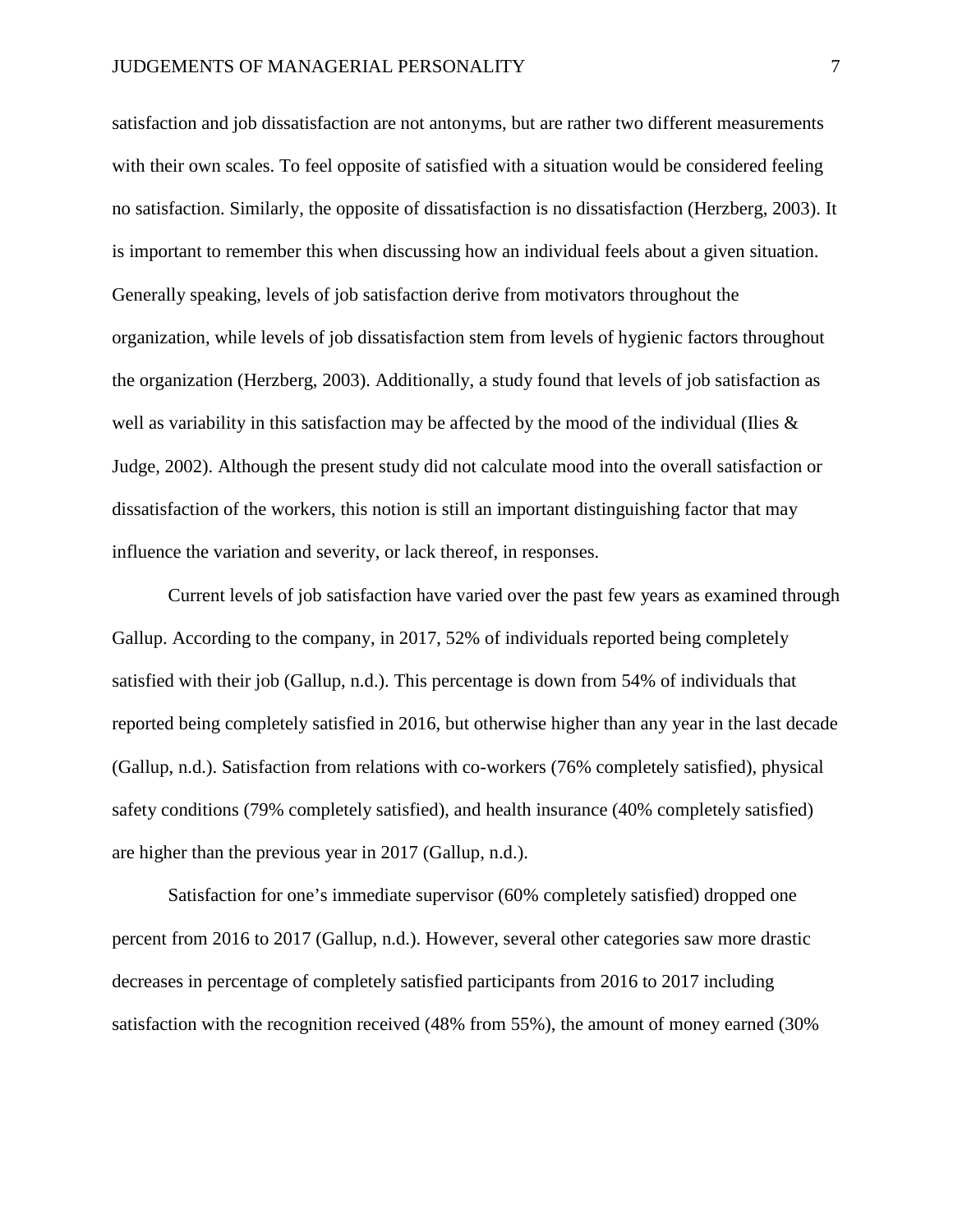satisfaction and job dissatisfaction are not antonyms, but are rather two different measurements with their own scales. To feel opposite of satisfied with a situation would be considered feeling no satisfaction. Similarly, the opposite of dissatisfaction is no dissatisfaction (Herzberg, 2003). It is important to remember this when discussing how an individual feels about a given situation. Generally speaking, levels of job satisfaction derive from motivators throughout the organization, while levels of job dissatisfaction stem from levels of hygienic factors throughout the organization (Herzberg, 2003). Additionally, a study found that levels of job satisfaction as well as variability in this satisfaction may be affected by the mood of the individual (Ilies  $\&$ Judge, 2002). Although the present study did not calculate mood into the overall satisfaction or dissatisfaction of the workers, this notion is still an important distinguishing factor that may influence the variation and severity, or lack thereof, in responses.

Current levels of job satisfaction have varied over the past few years as examined through Gallup. According to the company, in 2017, 52% of individuals reported being completely satisfied with their job (Gallup, n.d.). This percentage is down from 54% of individuals that reported being completely satisfied in 2016, but otherwise higher than any year in the last decade (Gallup, n.d.). Satisfaction from relations with co-workers (76% completely satisfied), physical safety conditions (79% completely satisfied), and health insurance (40% completely satisfied) are higher than the previous year in 2017 (Gallup, n.d.).

Satisfaction for one's immediate supervisor (60% completely satisfied) dropped one percent from 2016 to 2017 (Gallup, n.d.). However, several other categories saw more drastic decreases in percentage of completely satisfied participants from 2016 to 2017 including satisfaction with the recognition received (48% from 55%), the amount of money earned (30%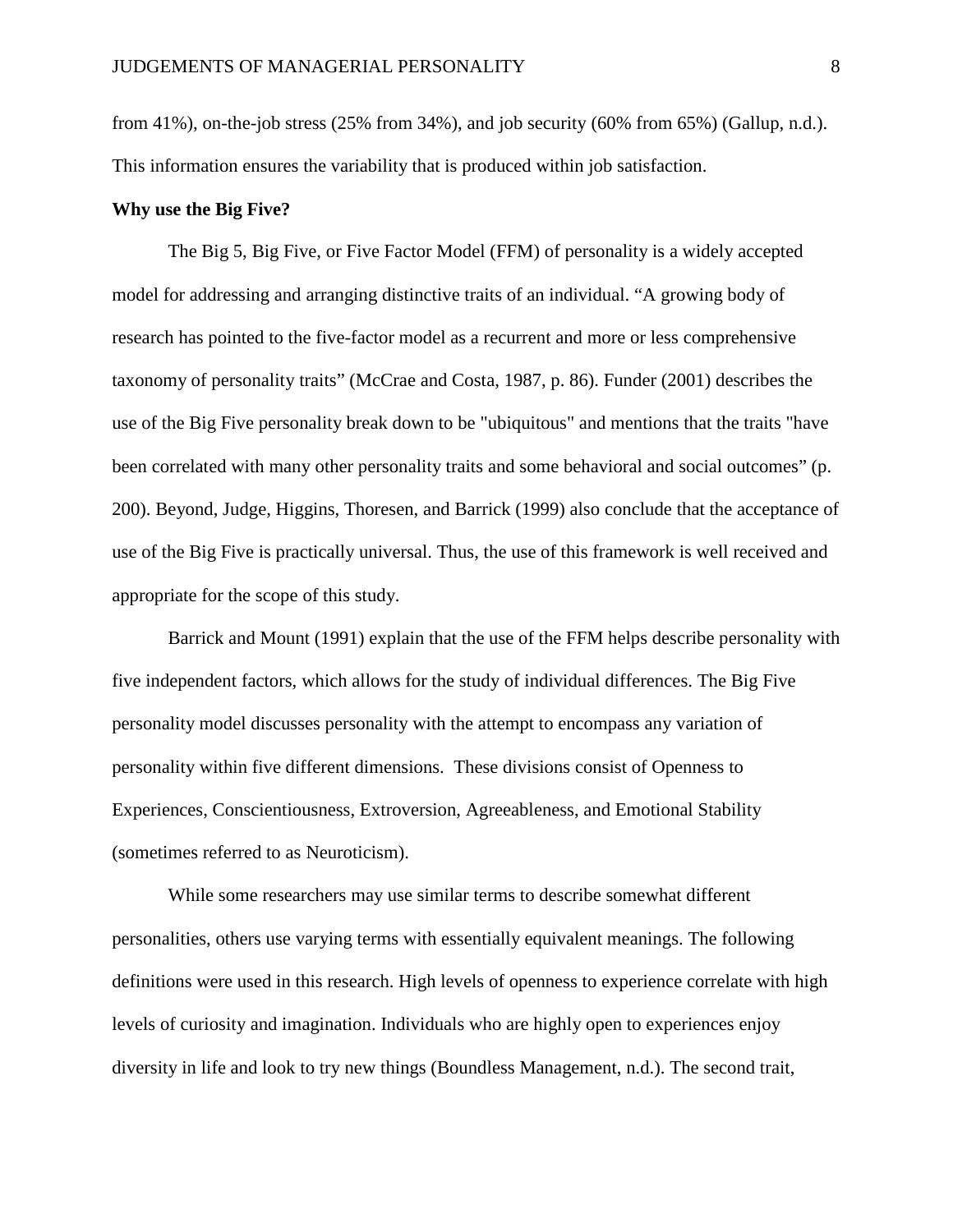from 41%), on-the-job stress (25% from 34%), and job security (60% from 65%) (Gallup, n.d.). This information ensures the variability that is produced within job satisfaction.

#### **Why use the Big Five?**

The Big 5, Big Five, or Five Factor Model (FFM) of personality is a widely accepted model for addressing and arranging distinctive traits of an individual. "A growing body of research has pointed to the five-factor model as a recurrent and more or less comprehensive taxonomy of personality traits" (McCrae and Costa, 1987, p. 86). Funder (2001) describes the use of the Big Five personality break down to be "ubiquitous" and mentions that the traits "have been correlated with many other personality traits and some behavioral and social outcomes" (p. 200). Beyond, Judge, Higgins, Thoresen, and Barrick (1999) also conclude that the acceptance of use of the Big Five is practically universal. Thus, the use of this framework is well received and appropriate for the scope of this study.

Barrick and Mount (1991) explain that the use of the FFM helps describe personality with five independent factors, which allows for the study of individual differences. The Big Five personality model discusses personality with the attempt to encompass any variation of personality within five different dimensions. These divisions consist of Openness to Experiences, Conscientiousness, Extroversion, Agreeableness, and Emotional Stability (sometimes referred to as Neuroticism).

While some researchers may use similar terms to describe somewhat different personalities, others use varying terms with essentially equivalent meanings. The following definitions were used in this research. High levels of openness to experience correlate with high levels of curiosity and imagination. Individuals who are highly open to experiences enjoy diversity in life and look to try new things (Boundless Management, n.d.). The second trait,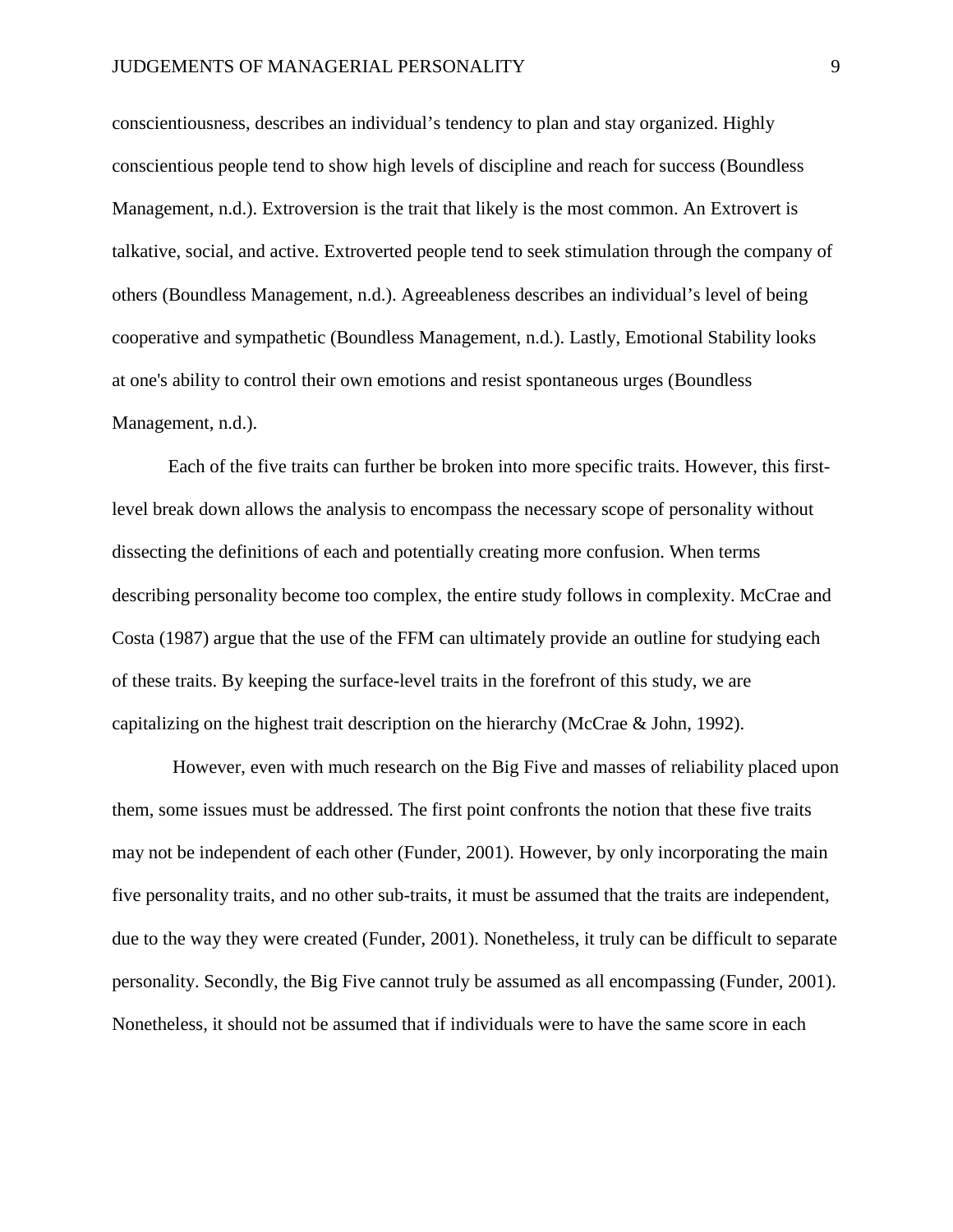conscientiousness, describes an individual's tendency to plan and stay organized. Highly conscientious people tend to show high levels of discipline and reach for success (Boundless Management, n.d.). Extroversion is the trait that likely is the most common. An Extrovert is talkative, social, and active. Extroverted people tend to seek stimulation through the company of others (Boundless Management, n.d.). Agreeableness describes an individual's level of being cooperative and sympathetic (Boundless Management, n.d.). Lastly, Emotional Stability looks at one's ability to control their own emotions and resist spontaneous urges (Boundless Management, n.d.).

Each of the five traits can further be broken into more specific traits. However, this firstlevel break down allows the analysis to encompass the necessary scope of personality without dissecting the definitions of each and potentially creating more confusion. When terms describing personality become too complex, the entire study follows in complexity. McCrae and Costa (1987) argue that the use of the FFM can ultimately provide an outline for studying each of these traits. By keeping the surface-level traits in the forefront of this study, we are capitalizing on the highest trait description on the hierarchy (McCrae & John, 1992).

However, even with much research on the Big Five and masses of reliability placed upon them, some issues must be addressed. The first point confronts the notion that these five traits may not be independent of each other (Funder, 2001). However, by only incorporating the main five personality traits, and no other sub-traits, it must be assumed that the traits are independent, due to the way they were created (Funder, 2001). Nonetheless, it truly can be difficult to separate personality. Secondly, the Big Five cannot truly be assumed as all encompassing (Funder, 2001). Nonetheless, it should not be assumed that if individuals were to have the same score in each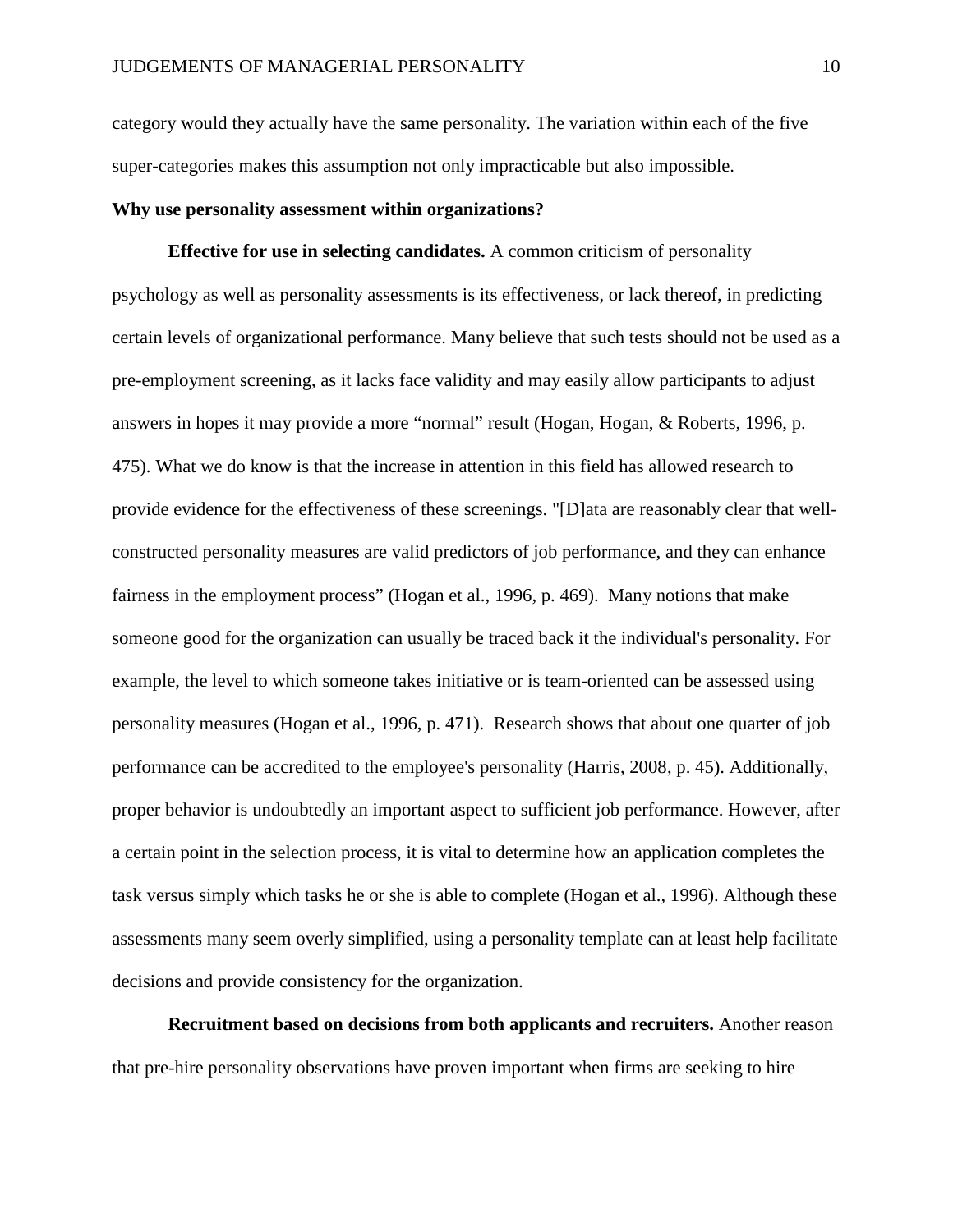category would they actually have the same personality. The variation within each of the five super-categories makes this assumption not only impracticable but also impossible.

#### **Why use personality assessment within organizations?**

**Effective for use in selecting candidates.** A common criticism of personality psychology as well as personality assessments is its effectiveness, or lack thereof, in predicting certain levels of organizational performance. Many believe that such tests should not be used as a pre-employment screening, as it lacks face validity and may easily allow participants to adjust answers in hopes it may provide a more "normal" result (Hogan, Hogan, & Roberts, 1996, p. 475). What we do know is that the increase in attention in this field has allowed research to provide evidence for the effectiveness of these screenings. "[D]ata are reasonably clear that wellconstructed personality measures are valid predictors of job performance, and they can enhance fairness in the employment process" (Hogan et al., 1996, p. 469). Many notions that make someone good for the organization can usually be traced back it the individual's personality. For example, the level to which someone takes initiative or is team-oriented can be assessed using personality measures (Hogan et al., 1996, p. 471). Research shows that about one quarter of job performance can be accredited to the employee's personality (Harris, 2008, p. 45). Additionally, proper behavior is undoubtedly an important aspect to sufficient job performance. However, after a certain point in the selection process, it is vital to determine how an application completes the task versus simply which tasks he or she is able to complete (Hogan et al., 1996). Although these assessments many seem overly simplified, using a personality template can at least help facilitate decisions and provide consistency for the organization.

**Recruitment based on decisions from both applicants and recruiters.** Another reason that pre-hire personality observations have proven important when firms are seeking to hire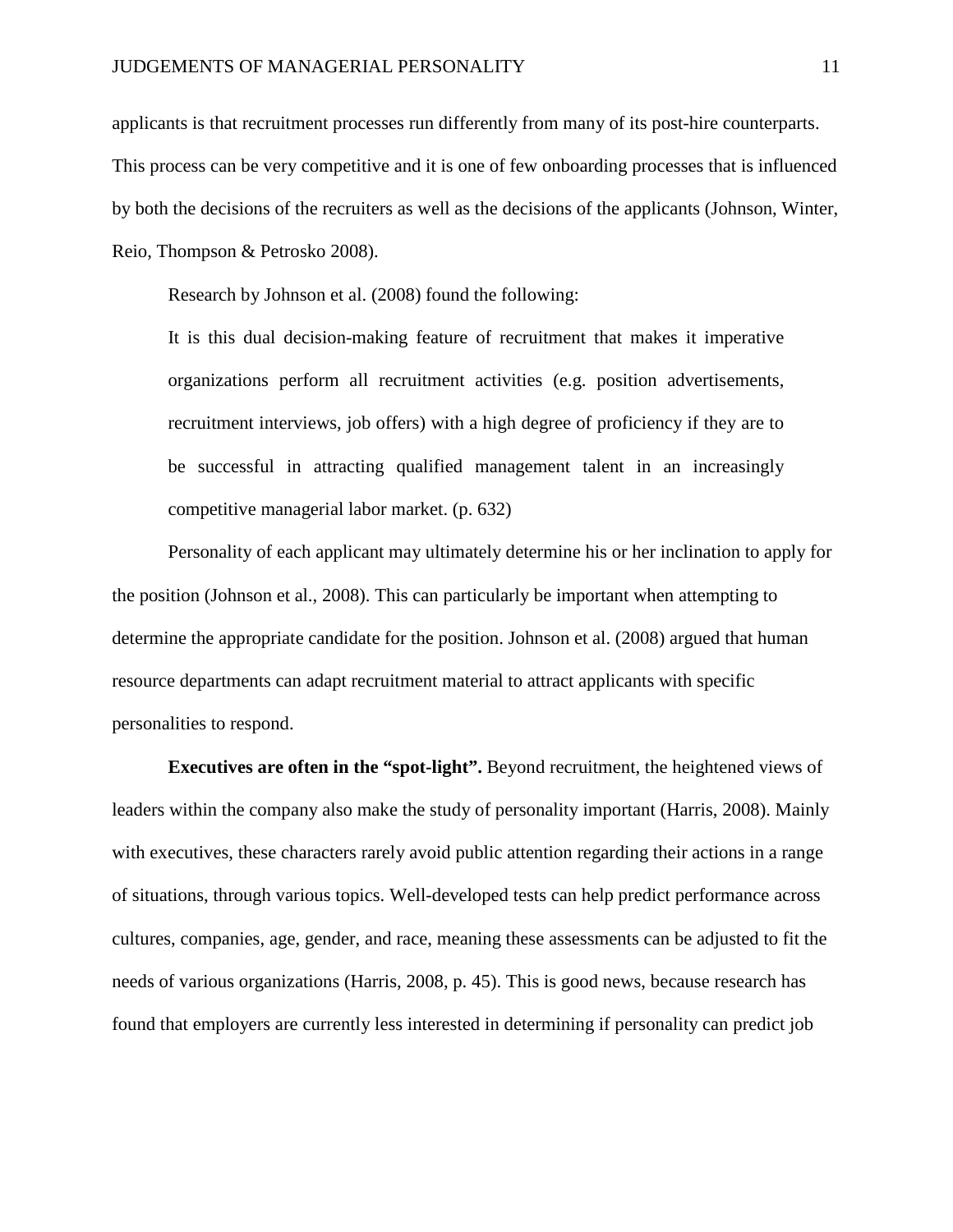applicants is that recruitment processes run differently from many of its post-hire counterparts. This process can be very competitive and it is one of few onboarding processes that is influenced by both the decisions of the recruiters as well as the decisions of the applicants (Johnson, Winter, Reio, Thompson & Petrosko 2008).

Research by Johnson et al. (2008) found the following:

It is this dual decision-making feature of recruitment that makes it imperative organizations perform all recruitment activities (e.g. position advertisements, recruitment interviews, job offers) with a high degree of proficiency if they are to be successful in attracting qualified management talent in an increasingly competitive managerial labor market. (p. 632)

Personality of each applicant may ultimately determine his or her inclination to apply for the position (Johnson et al., 2008). This can particularly be important when attempting to determine the appropriate candidate for the position. Johnson et al. (2008) argued that human resource departments can adapt recruitment material to attract applicants with specific personalities to respond.

**Executives are often in the "spot-light".** Beyond recruitment, the heightened views of leaders within the company also make the study of personality important (Harris, 2008). Mainly with executives, these characters rarely avoid public attention regarding their actions in a range of situations, through various topics. Well-developed tests can help predict performance across cultures, companies, age, gender, and race, meaning these assessments can be adjusted to fit the needs of various organizations (Harris, 2008, p. 45). This is good news, because research has found that employers are currently less interested in determining if personality can predict job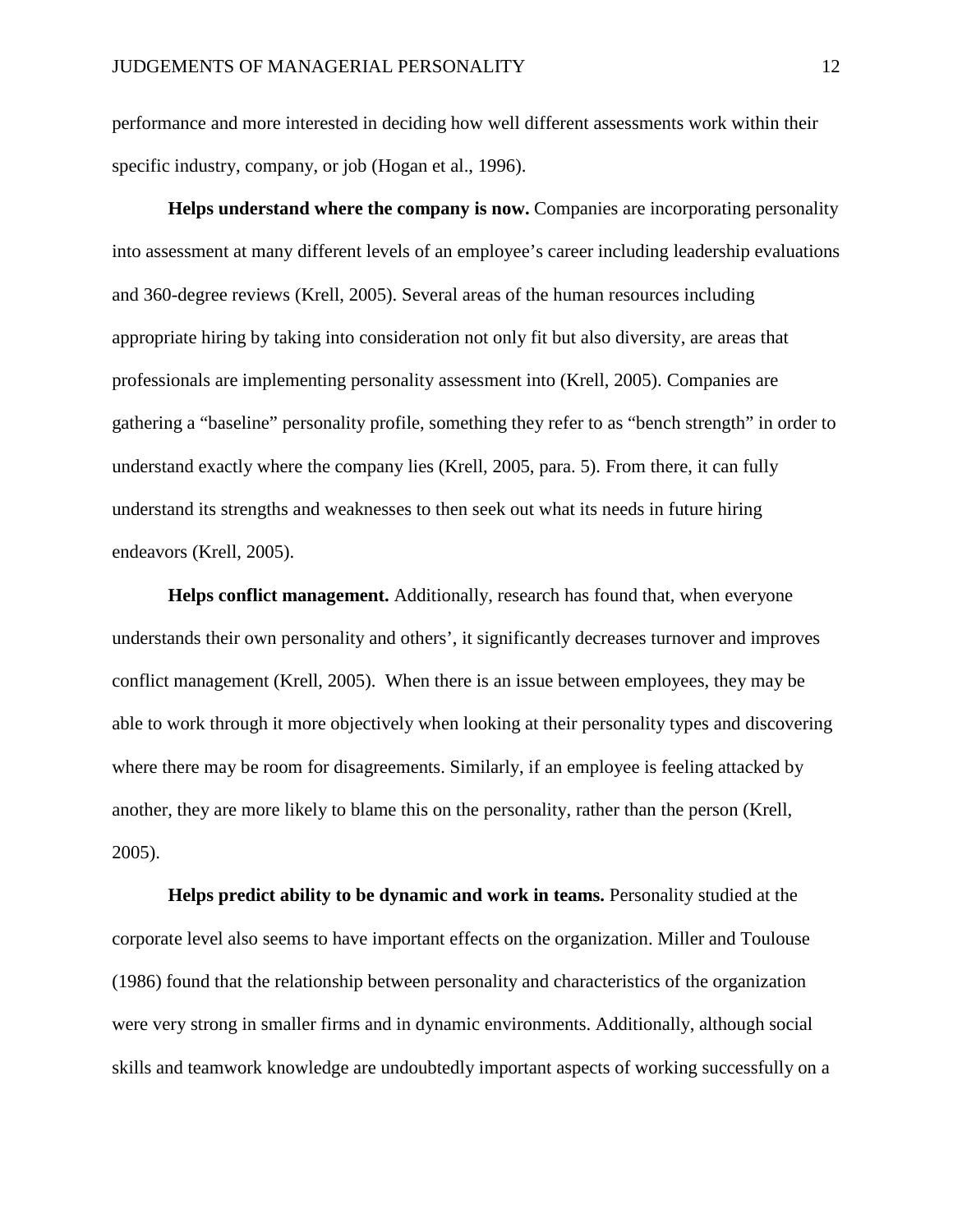performance and more interested in deciding how well different assessments work within their specific industry, company, or job (Hogan et al., 1996).

**Helps understand where the company is now.** Companies are incorporating personality into assessment at many different levels of an employee's career including leadership evaluations and 360-degree reviews (Krell, 2005). Several areas of the human resources including appropriate hiring by taking into consideration not only fit but also diversity, are areas that professionals are implementing personality assessment into (Krell, 2005). Companies are gathering a "baseline" personality profile, something they refer to as "bench strength" in order to understand exactly where the company lies (Krell, 2005, para. 5). From there, it can fully understand its strengths and weaknesses to then seek out what its needs in future hiring endeavors (Krell, 2005).

**Helps conflict management.** Additionally, research has found that, when everyone understands their own personality and others', it significantly decreases turnover and improves conflict management (Krell, 2005). When there is an issue between employees, they may be able to work through it more objectively when looking at their personality types and discovering where there may be room for disagreements. Similarly, if an employee is feeling attacked by another, they are more likely to blame this on the personality, rather than the person (Krell, 2005).

**Helps predict ability to be dynamic and work in teams.** Personality studied at the corporate level also seems to have important effects on the organization. Miller and Toulouse (1986) found that the relationship between personality and characteristics of the organization were very strong in smaller firms and in dynamic environments. Additionally, although social skills and teamwork knowledge are undoubtedly important aspects of working successfully on a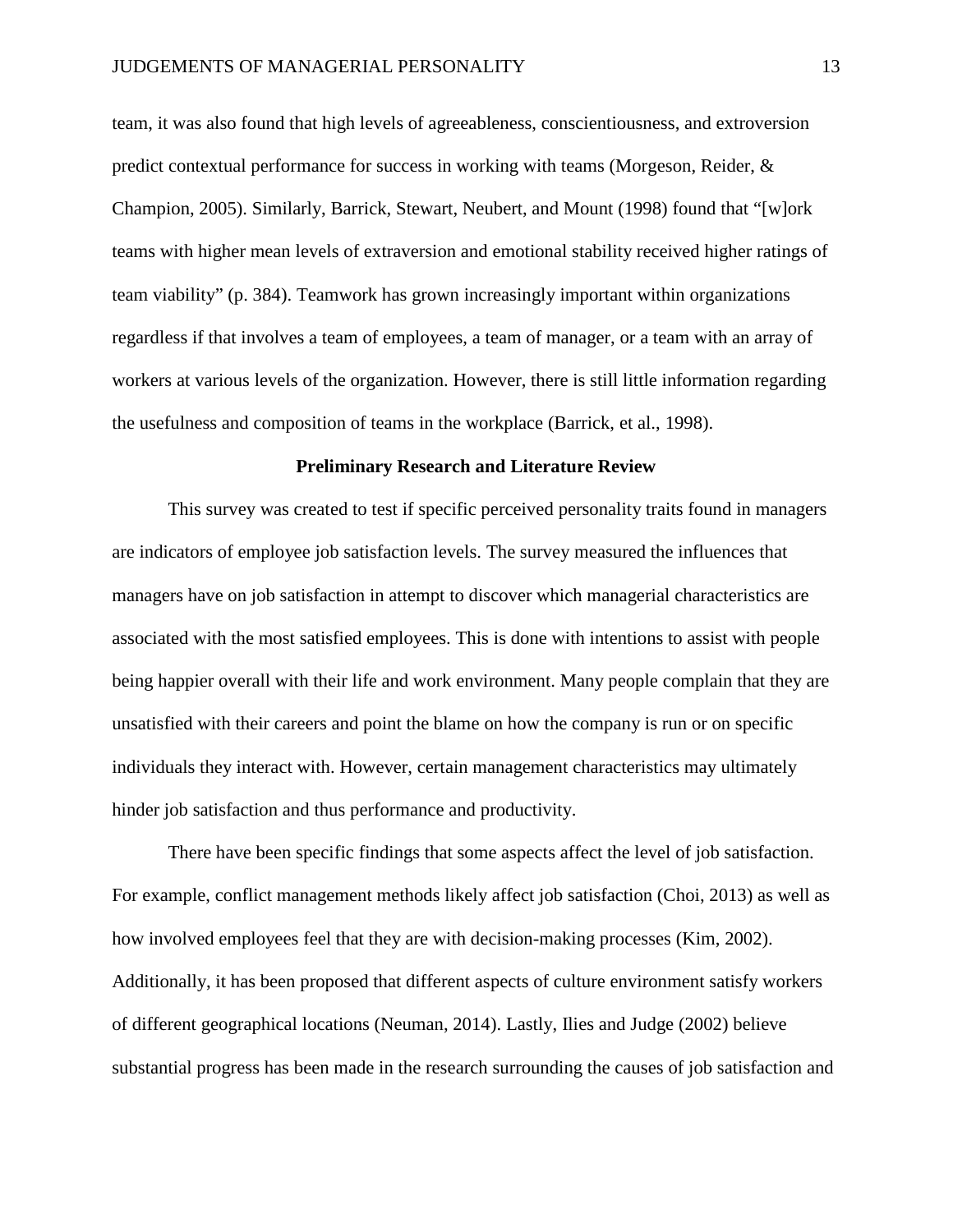team, it was also found that high levels of agreeableness, conscientiousness, and extroversion predict contextual performance for success in working with teams (Morgeson, Reider, & Champion, 2005). Similarly, Barrick, Stewart, Neubert, and Mount (1998) found that "[w]ork teams with higher mean levels of extraversion and emotional stability received higher ratings of team viability" (p. 384). Teamwork has grown increasingly important within organizations regardless if that involves a team of employees, a team of manager, or a team with an array of workers at various levels of the organization. However, there is still little information regarding the usefulness and composition of teams in the workplace (Barrick, et al., 1998).

#### **Preliminary Research and Literature Review**

This survey was created to test if specific perceived personality traits found in managers are indicators of employee job satisfaction levels. The survey measured the influences that managers have on job satisfaction in attempt to discover which managerial characteristics are associated with the most satisfied employees. This is done with intentions to assist with people being happier overall with their life and work environment. Many people complain that they are unsatisfied with their careers and point the blame on how the company is run or on specific individuals they interact with. However, certain management characteristics may ultimately hinder job satisfaction and thus performance and productivity.

There have been specific findings that some aspects affect the level of job satisfaction. For example, conflict management methods likely affect job satisfaction (Choi, 2013) as well as how involved employees feel that they are with decision-making processes (Kim, 2002). Additionally, it has been proposed that different aspects of culture environment satisfy workers of different geographical locations (Neuman, 2014). Lastly, Ilies and Judge (2002) believe substantial progress has been made in the research surrounding the causes of job satisfaction and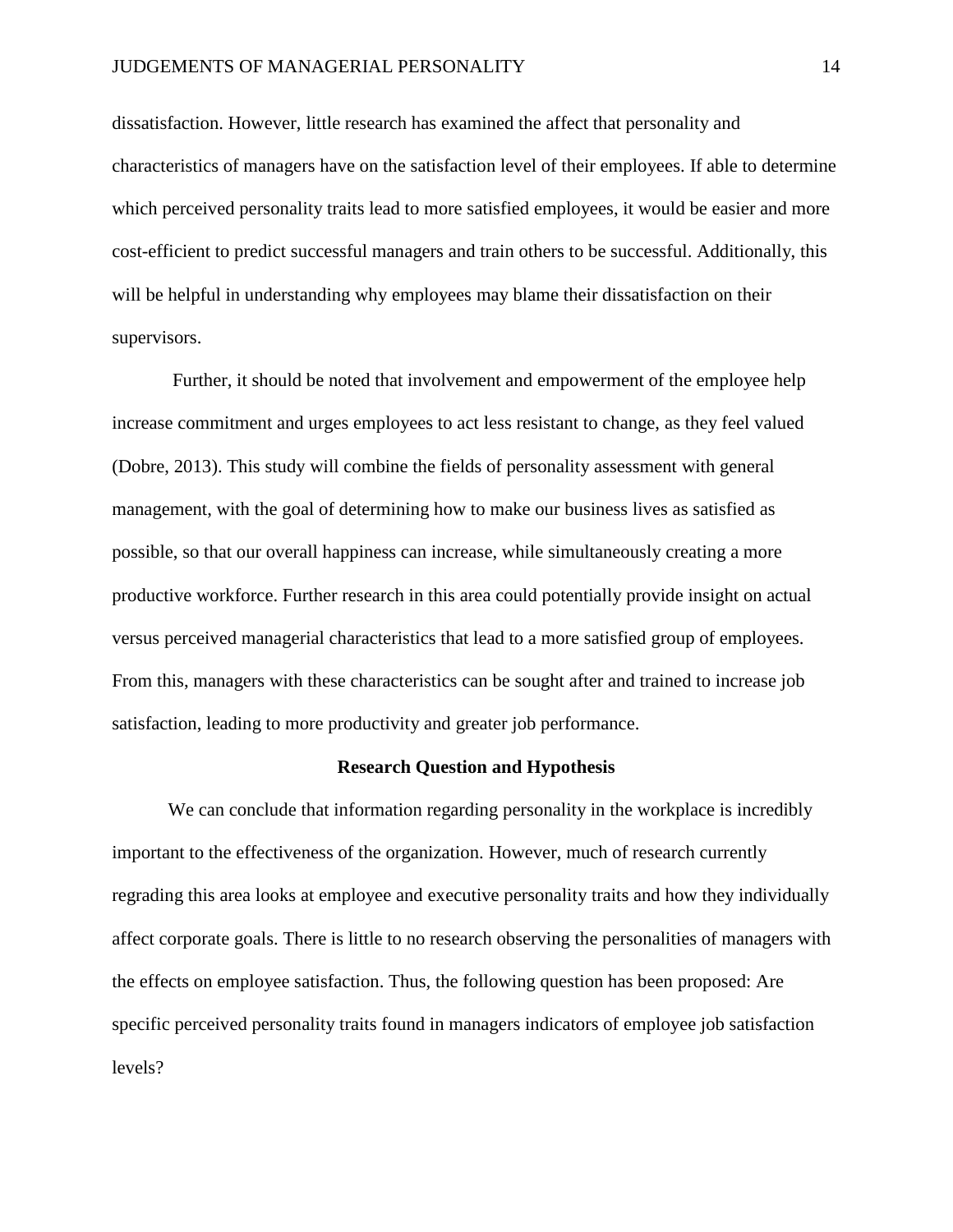dissatisfaction. However, little research has examined the affect that personality and characteristics of managers have on the satisfaction level of their employees. If able to determine which perceived personality traits lead to more satisfied employees, it would be easier and more cost-efficient to predict successful managers and train others to be successful. Additionally, this will be helpful in understanding why employees may blame their dissatisfaction on their supervisors.

Further, it should be noted that involvement and empowerment of the employee help increase commitment and urges employees to act less resistant to change, as they feel valued (Dobre, 2013). This study will combine the fields of personality assessment with general management, with the goal of determining how to make our business lives as satisfied as possible, so that our overall happiness can increase, while simultaneously creating a more productive workforce. Further research in this area could potentially provide insight on actual versus perceived managerial characteristics that lead to a more satisfied group of employees. From this, managers with these characteristics can be sought after and trained to increase job satisfaction, leading to more productivity and greater job performance.

#### **Research Question and Hypothesis**

We can conclude that information regarding personality in the workplace is incredibly important to the effectiveness of the organization. However, much of research currently regrading this area looks at employee and executive personality traits and how they individually affect corporate goals. There is little to no research observing the personalities of managers with the effects on employee satisfaction. Thus, the following question has been proposed: Are specific perceived personality traits found in managers indicators of employee job satisfaction levels?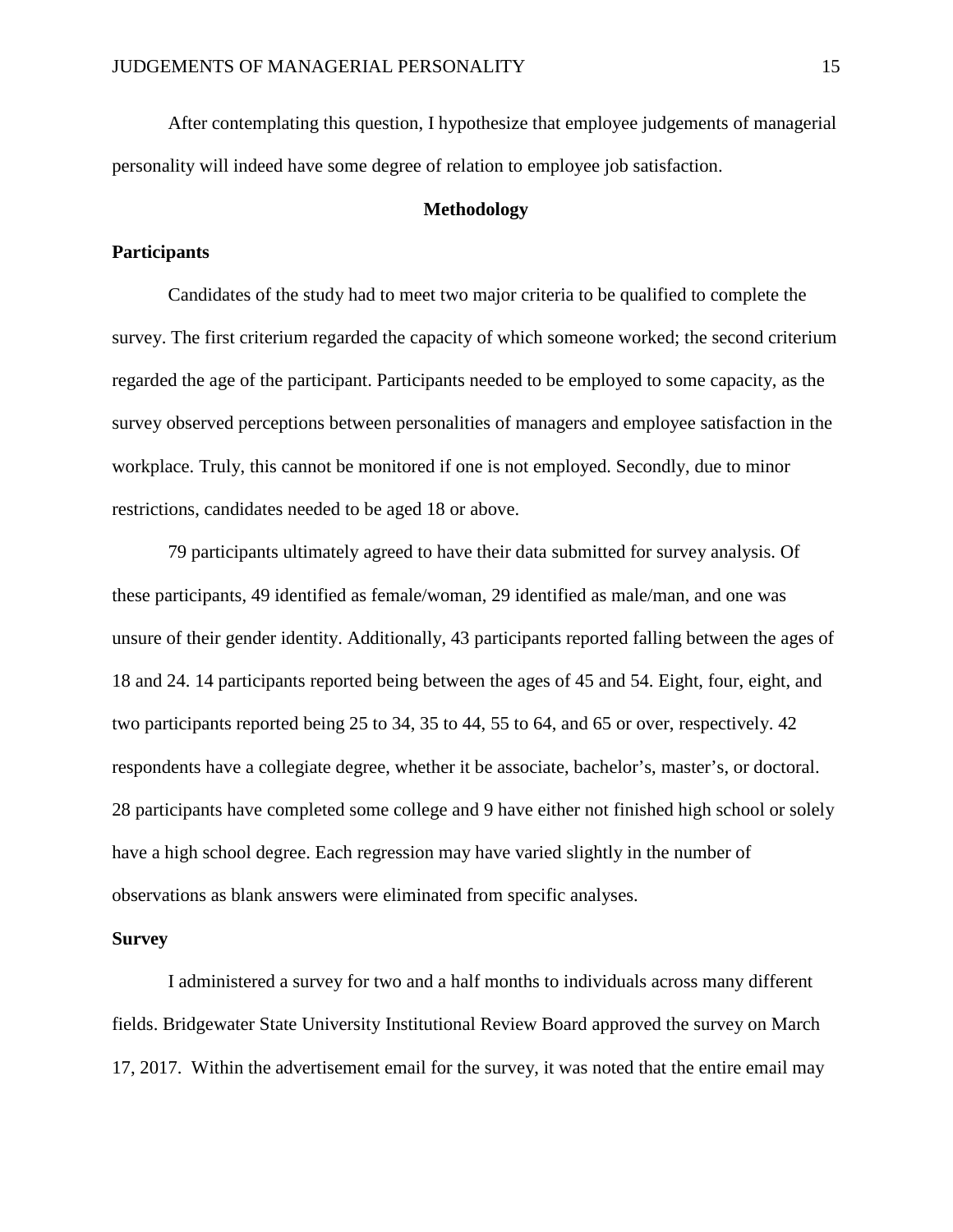After contemplating this question, I hypothesize that employee judgements of managerial personality will indeed have some degree of relation to employee job satisfaction.

#### **Methodology**

#### **Participants**

Candidates of the study had to meet two major criteria to be qualified to complete the survey. The first criterium regarded the capacity of which someone worked; the second criterium regarded the age of the participant. Participants needed to be employed to some capacity, as the survey observed perceptions between personalities of managers and employee satisfaction in the workplace. Truly, this cannot be monitored if one is not employed. Secondly, due to minor restrictions, candidates needed to be aged 18 or above.

79 participants ultimately agreed to have their data submitted for survey analysis. Of these participants, 49 identified as female/woman, 29 identified as male/man, and one was unsure of their gender identity. Additionally, 43 participants reported falling between the ages of 18 and 24. 14 participants reported being between the ages of 45 and 54. Eight, four, eight, and two participants reported being 25 to 34, 35 to 44, 55 to 64, and 65 or over, respectively. 42 respondents have a collegiate degree, whether it be associate, bachelor's, master's, or doctoral. 28 participants have completed some college and 9 have either not finished high school or solely have a high school degree. Each regression may have varied slightly in the number of observations as blank answers were eliminated from specific analyses.

#### **Survey**

I administered a survey for two and a half months to individuals across many different fields. Bridgewater State University Institutional Review Board approved the survey on March 17, 2017. Within the advertisement email for the survey, it was noted that the entire email may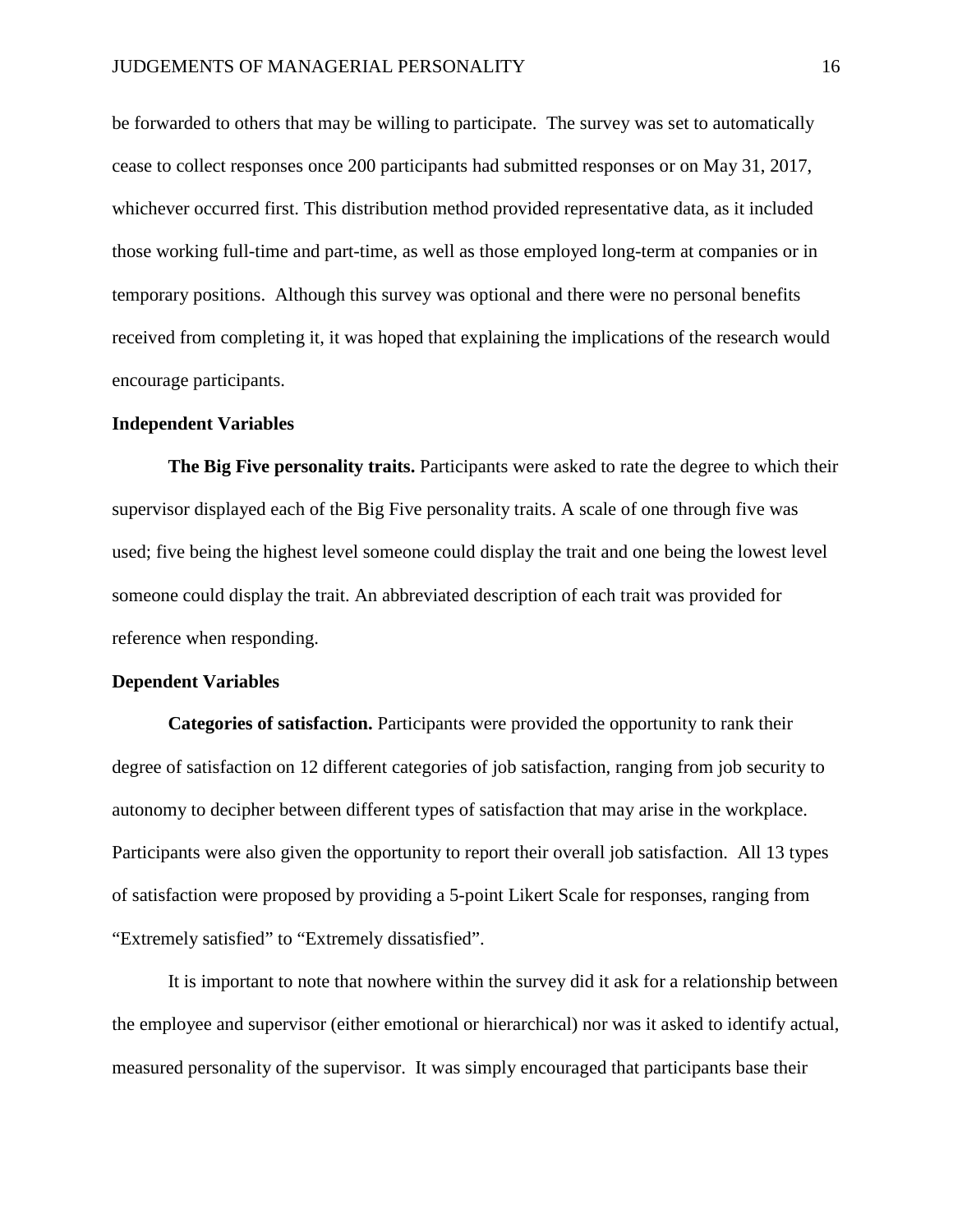be forwarded to others that may be willing to participate. The survey was set to automatically cease to collect responses once 200 participants had submitted responses or on May 31, 2017, whichever occurred first. This distribution method provided representative data, as it included those working full-time and part-time, as well as those employed long-term at companies or in temporary positions. Although this survey was optional and there were no personal benefits received from completing it, it was hoped that explaining the implications of the research would encourage participants.

#### **Independent Variables**

**The Big Five personality traits.** Participants were asked to rate the degree to which their supervisor displayed each of the Big Five personality traits. A scale of one through five was used; five being the highest level someone could display the trait and one being the lowest level someone could display the trait. An abbreviated description of each trait was provided for reference when responding.

#### **Dependent Variables**

**Categories of satisfaction.** Participants were provided the opportunity to rank their degree of satisfaction on 12 different categories of job satisfaction, ranging from job security to autonomy to decipher between different types of satisfaction that may arise in the workplace. Participants were also given the opportunity to report their overall job satisfaction. All 13 types of satisfaction were proposed by providing a 5-point Likert Scale for responses, ranging from "Extremely satisfied" to "Extremely dissatisfied".

It is important to note that nowhere within the survey did it ask for a relationship between the employee and supervisor (either emotional or hierarchical) nor was it asked to identify actual, measured personality of the supervisor. It was simply encouraged that participants base their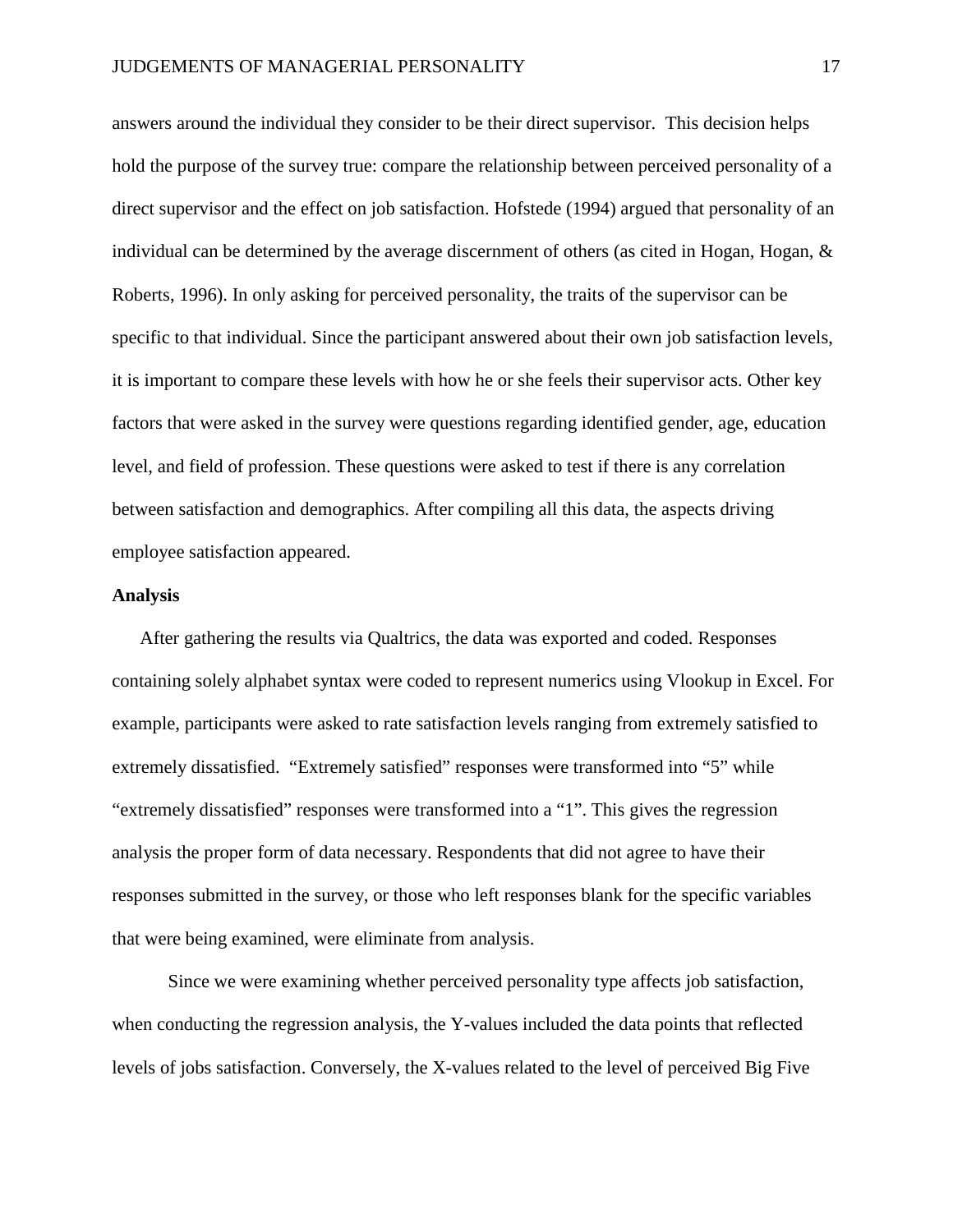answers around the individual they consider to be their direct supervisor. This decision helps hold the purpose of the survey true: compare the relationship between perceived personality of a direct supervisor and the effect on job satisfaction. Hofstede (1994) argued that personality of an individual can be determined by the average discernment of others (as cited in Hogan, Hogan,  $\&$ Roberts, 1996). In only asking for perceived personality, the traits of the supervisor can be specific to that individual. Since the participant answered about their own job satisfaction levels, it is important to compare these levels with how he or she feels their supervisor acts. Other key factors that were asked in the survey were questions regarding identified gender, age, education level, and field of profession. These questions were asked to test if there is any correlation between satisfaction and demographics. After compiling all this data, the aspects driving employee satisfaction appeared.

#### **Analysis**

After gathering the results via Qualtrics, the data was exported and coded. Responses containing solely alphabet syntax were coded to represent numerics using Vlookup in Excel. For example, participants were asked to rate satisfaction levels ranging from extremely satisfied to extremely dissatisfied. "Extremely satisfied" responses were transformed into "5" while "extremely dissatisfied" responses were transformed into a "1". This gives the regression analysis the proper form of data necessary. Respondents that did not agree to have their responses submitted in the survey, or those who left responses blank for the specific variables that were being examined, were eliminate from analysis.

Since we were examining whether perceived personality type affects job satisfaction, when conducting the regression analysis, the Y-values included the data points that reflected levels of jobs satisfaction. Conversely, the X-values related to the level of perceived Big Five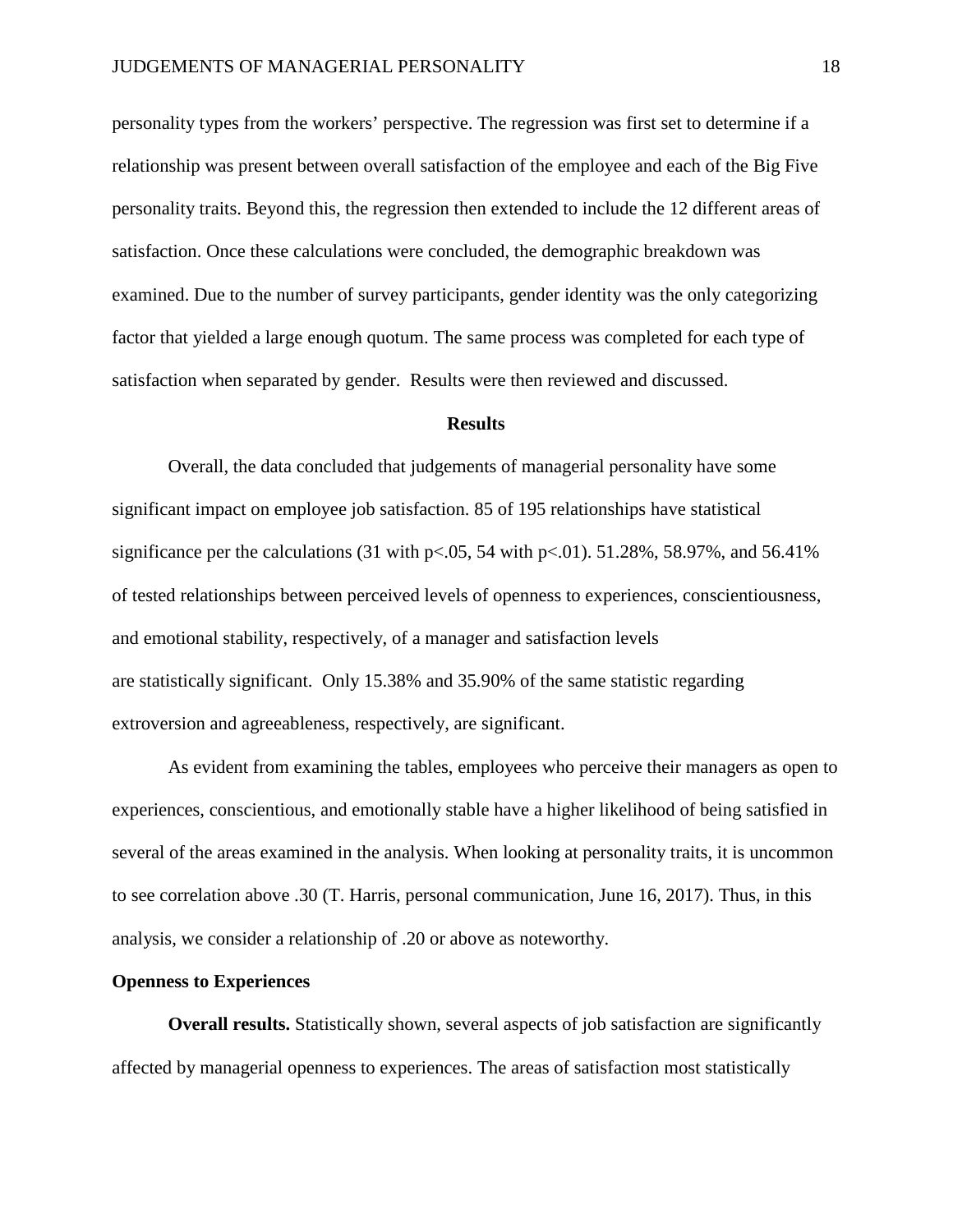personality types from the workers' perspective. The regression was first set to determine if a relationship was present between overall satisfaction of the employee and each of the Big Five personality traits. Beyond this, the regression then extended to include the 12 different areas of satisfaction. Once these calculations were concluded, the demographic breakdown was examined. Due to the number of survey participants, gender identity was the only categorizing factor that yielded a large enough quotum. The same process was completed for each type of satisfaction when separated by gender. Results were then reviewed and discussed.

#### **Results**

Overall, the data concluded that judgements of managerial personality have some significant impact on employee job satisfaction. 85 of 195 relationships have statistical significance per the calculations  $(31 \text{ with } p < 0.05, 54 \text{ with } p < 0.01)$ . 51.28%, 58.97%, and 56.41% of tested relationships between perceived levels of openness to experiences, conscientiousness, and emotional stability, respectively, of a manager and satisfaction levels are statistically significant. Only 15.38% and 35.90% of the same statistic regarding extroversion and agreeableness, respectively, are significant.

As evident from examining the tables, employees who perceive their managers as open to experiences, conscientious, and emotionally stable have a higher likelihood of being satisfied in several of the areas examined in the analysis. When looking at personality traits, it is uncommon to see correlation above .30 (T. Harris, personal communication, June 16, 2017). Thus, in this analysis, we consider a relationship of .20 or above as noteworthy.

# **Openness to Experiences**

**Overall results.** Statistically shown, several aspects of job satisfaction are significantly affected by managerial openness to experiences. The areas of satisfaction most statistically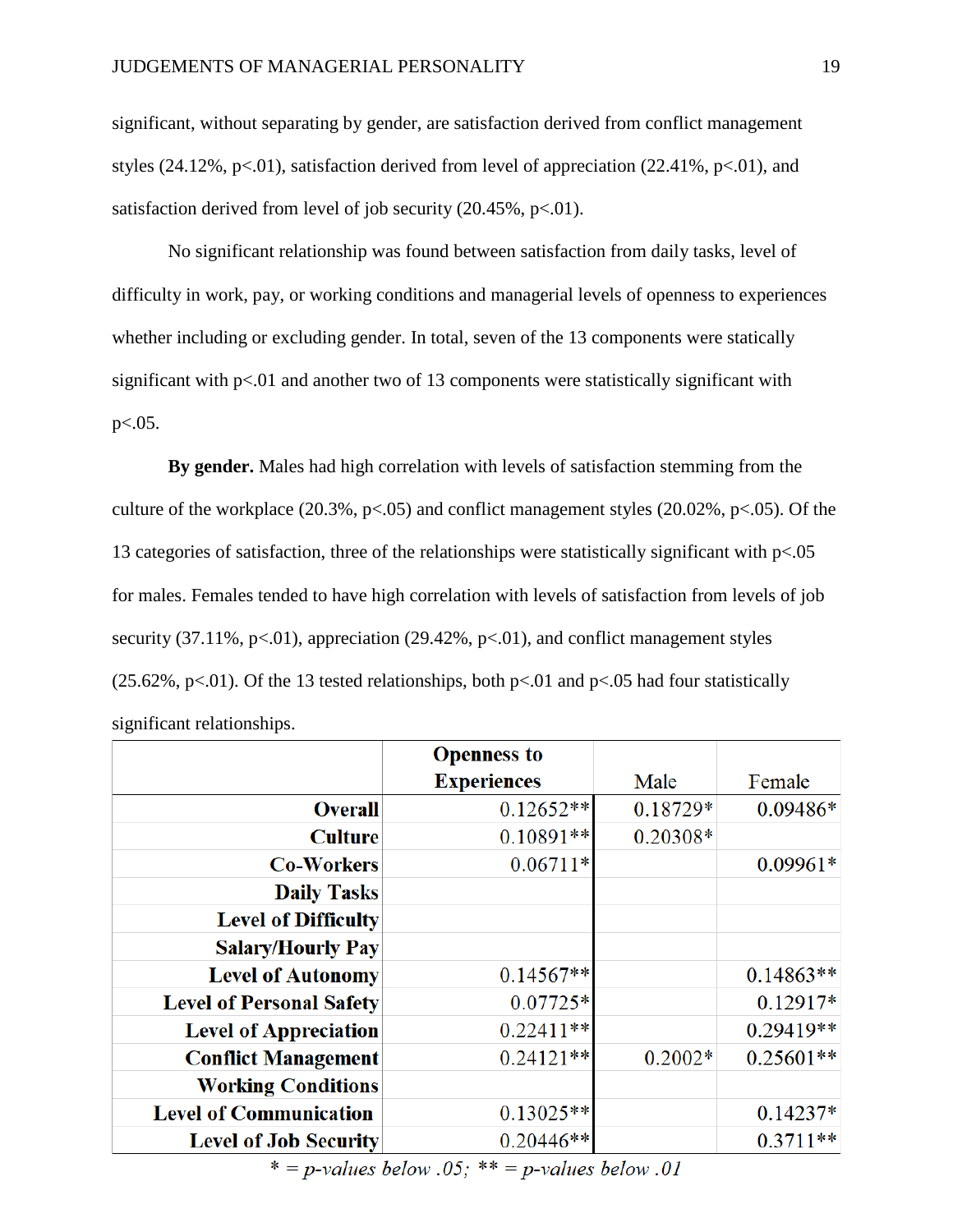significant, without separating by gender, are satisfaction derived from conflict management styles (24.12%,  $p<0$ 1), satisfaction derived from level of appreciation (22.41%,  $p<0$ 1), and satisfaction derived from level of job security  $(20.45\%, \text{p} < 0.01)$ .

No significant relationship was found between satisfaction from daily tasks, level of difficulty in work, pay, or working conditions and managerial levels of openness to experiences whether including or excluding gender. In total, seven of the 13 components were statically significant with  $p<01$  and another two of 13 components were statistically significant with p<.05.

**By gender.** Males had high correlation with levels of satisfaction stemming from the culture of the workplace  $(20.3\%, p<.05)$  and conflict management styles  $(20.02\%, p<.05)$ . Of the 13 categories of satisfaction, three of the relationships were statistically significant with  $p<0.05$ for males. Females tended to have high correlation with levels of satisfaction from levels of job security (37.11%,  $p<.01$ ), appreciation (29.42%,  $p<.01$ ), and conflict management styles (25.62%, p<.01). Of the 13 tested relationships, both p<.01 and p<.05 had four statistically significant relationships.

|                                 | <b>Openness to</b> |           |             |
|---------------------------------|--------------------|-----------|-------------|
|                                 | <b>Experiences</b> | Male      | Female      |
| <b>Overall</b>                  | $0.12652**$        | 0.18729*  | $0.09486*$  |
| <b>Culture</b>                  | $0.10891**$        | 0.20308*  |             |
| <b>Co-Workers</b>               | $0.06711*$         |           | $0.09961*$  |
| <b>Daily Tasks</b>              |                    |           |             |
| <b>Level of Difficulty</b>      |                    |           |             |
| <b>Salary/Hourly Pay</b>        |                    |           |             |
| <b>Level of Autonomy</b>        | $0.14567**$        |           | $0.14863**$ |
| <b>Level of Personal Safety</b> | $0.07725*$         |           | $0.12917*$  |
| <b>Level of Appreciation</b>    | $0.22411**$        |           | $0.29419**$ |
| <b>Conflict Management</b>      | $0.24121**$        | $0.2002*$ | $0.25601**$ |
| <b>Working Conditions</b>       |                    |           |             |
| <b>Level of Communication</b>   | $0.13025**$        |           | $0.14237*$  |
| <b>Level of Job Security</b>    | $0.20446**$        |           | $0.3711**$  |

\* = p-values below .05; \*\* = p-values below .01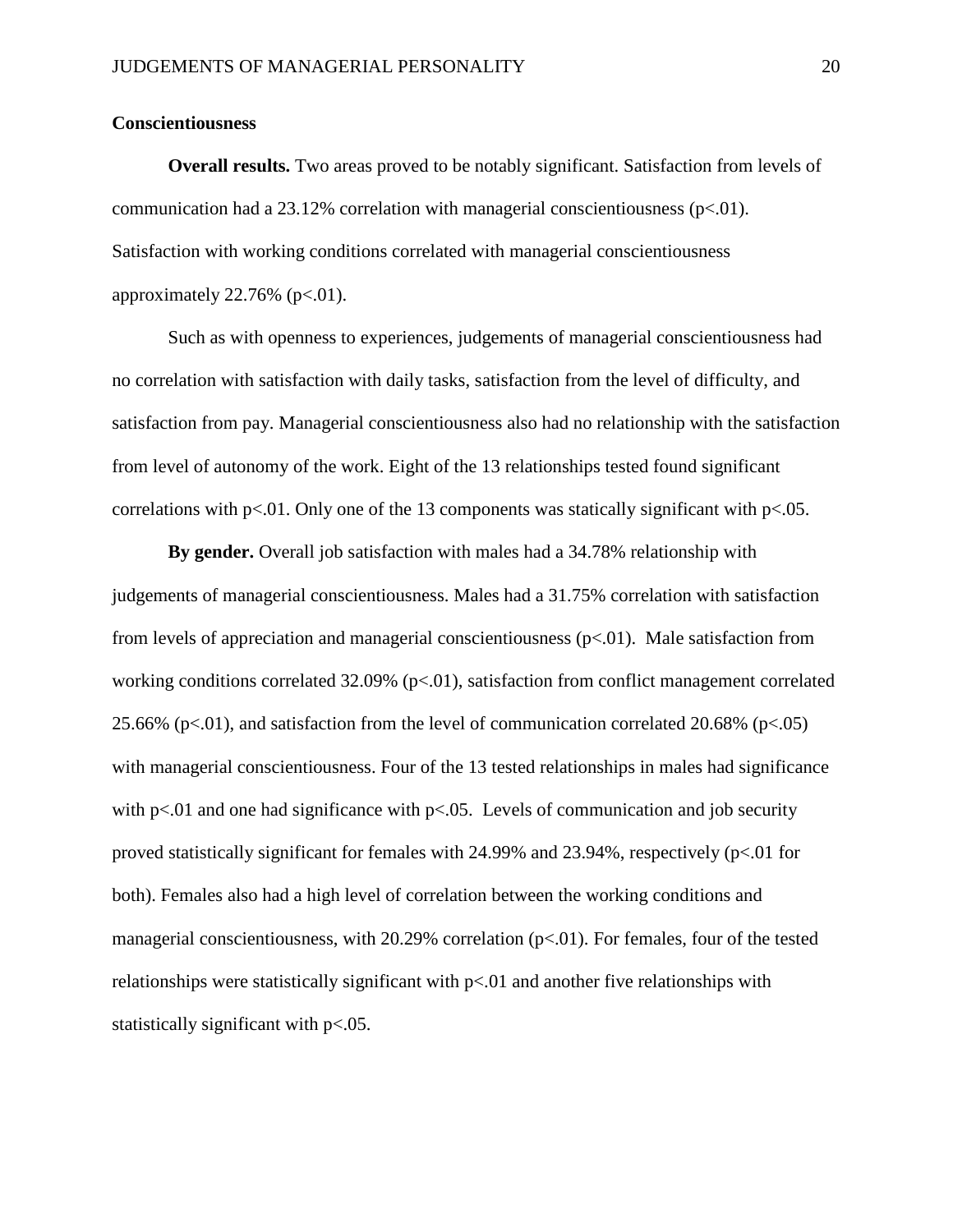#### **Conscientiousness**

**Overall results.** Two areas proved to be notably significant. Satisfaction from levels of communication had a 23.12% correlation with managerial conscientiousness  $(p<0.01)$ . Satisfaction with working conditions correlated with managerial conscientiousness approximately  $22.76\%$  (p $\lt$ .01).

Such as with openness to experiences, judgements of managerial conscientiousness had no correlation with satisfaction with daily tasks, satisfaction from the level of difficulty, and satisfaction from pay. Managerial conscientiousness also had no relationship with the satisfaction from level of autonomy of the work. Eight of the 13 relationships tested found significant correlations with p<.01. Only one of the 13 components was statically significant with p<.05.

**By gender.** Overall job satisfaction with males had a 34.78% relationship with judgements of managerial conscientiousness. Males had a 31.75% correlation with satisfaction from levels of appreciation and managerial conscientiousness  $(p<0.01)$ . Male satisfaction from working conditions correlated  $32.09\%$  (p $< 0.01$ ), satisfaction from conflict management correlated 25.66% (p<.01), and satisfaction from the level of communication correlated 20.68% (p<.05) with managerial conscientiousness. Four of the 13 tested relationships in males had significance with  $p<01$  and one had significance with  $p<05$ . Levels of communication and job security proved statistically significant for females with 24.99% and 23.94%, respectively (p<.01 for both). Females also had a high level of correlation between the working conditions and managerial conscientiousness, with 20.29% correlation (p<.01). For females, four of the tested relationships were statistically significant with  $p<0$  and another five relationships with statistically significant with p<.05.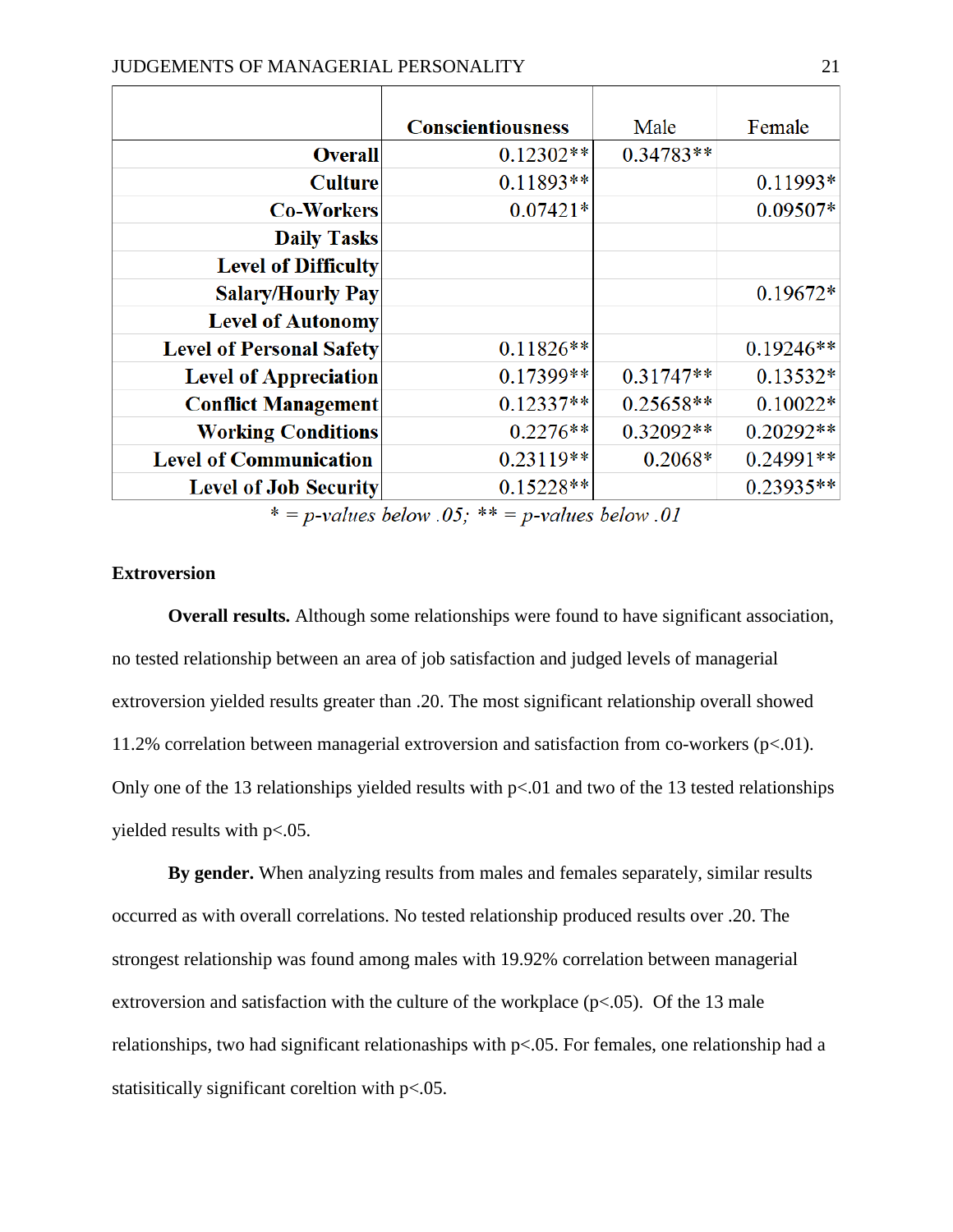|                                 | <b>Conscientiousness</b> | Male        | Female      |
|---------------------------------|--------------------------|-------------|-------------|
| <b>Overall</b>                  | $0.12302**$              | $0.34783**$ |             |
| <b>Culture</b>                  | $0.11893**$              |             | $0.11993*$  |
| <b>Co-Workers</b>               | $0.07421*$               |             | $0.09507*$  |
| <b>Daily Tasks</b>              |                          |             |             |
| <b>Level of Difficulty</b>      |                          |             |             |
| <b>Salary/Hourly Pay</b>        |                          |             | $0.19672*$  |
| <b>Level of Autonomy</b>        |                          |             |             |
| <b>Level of Personal Safety</b> | $0.11826**$              |             | $0.19246**$ |
| <b>Level of Appreciation</b>    | 0.17399**                | $0.31747**$ | $0.13532*$  |
| <b>Conflict Management</b>      | $0.12337**$              | $0.25658**$ | $0.10022*$  |
| <b>Working Conditions</b>       | $0.2276**$               | 0.32092**   | $0.20292**$ |
| <b>Level of Communication</b>   | $0.23119**$              | $0.2068*$   | 0.24991**   |
| <b>Level of Job Security</b>    | $0.15228**$              |             | $0.23935**$ |

 $* = p$ -values below .05; \*\* = p-values below .01

# **Extroversion**

**Overall results.** Although some relationships were found to have significant association, no tested relationship between an area of job satisfaction and judged levels of managerial extroversion yielded results greater than .20. The most significant relationship overall showed 11.2% correlation between managerial extroversion and satisfaction from co-workers (p<.01). Only one of the 13 relationships yielded results with  $p<0$  and two of the 13 tested relationships yielded results with p<.05.

**By gender.** When analyzing results from males and females separately, similar results occurred as with overall correlations. No tested relationship produced results over .20. The strongest relationship was found among males with 19.92% correlation between managerial extroversion and satisfaction with the culture of the workplace  $(p<.05)$ . Of the 13 male relationships, two had significant relationaships with p<.05. For females, one relationship had a statisitically significant coreltion with p<.05.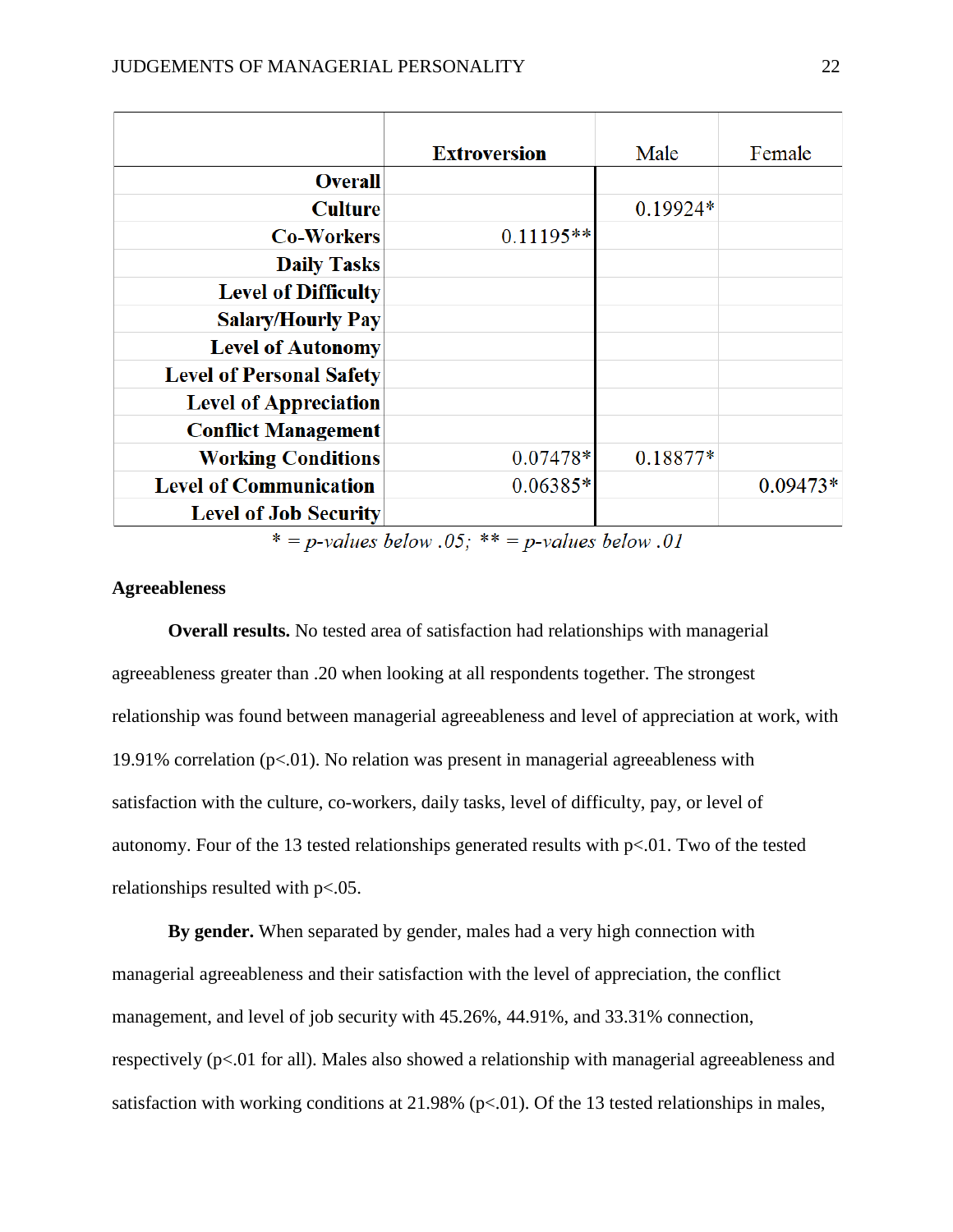|                                 | <b>Extroversion</b> | Male       | Female     |
|---------------------------------|---------------------|------------|------------|
| <b>Overall</b>                  |                     |            |            |
| <b>Culture</b>                  |                     | $0.19924*$ |            |
| <b>Co-Workers</b>               | $0.11195**$         |            |            |
| <b>Daily Tasks</b>              |                     |            |            |
| <b>Level of Difficulty</b>      |                     |            |            |
| <b>Salary/Hourly Pay</b>        |                     |            |            |
| <b>Level of Autonomy</b>        |                     |            |            |
| <b>Level of Personal Safety</b> |                     |            |            |
| <b>Level of Appreciation</b>    |                     |            |            |
| <b>Conflict Management</b>      |                     |            |            |
| <b>Working Conditions</b>       | 0.07478*            | 0.18877*   |            |
| <b>Level of Communication</b>   | $0.06385*$          |            | $0.09473*$ |
| <b>Level of Job Security</b>    |                     |            |            |

 $* = p$ -values below .05; \*\* = p-values below .01

# **Agreeableness**

**Overall results.** No tested area of satisfaction had relationships with managerial agreeableness greater than .20 when looking at all respondents together. The strongest relationship was found between managerial agreeableness and level of appreciation at work, with 19.91% correlation ( $p<0$ 1). No relation was present in managerial agreeableness with satisfaction with the culture, co-workers, daily tasks, level of difficulty, pay, or level of autonomy. Four of the 13 tested relationships generated results with p<.01. Two of the tested relationships resulted with p<.05.

**By gender.** When separated by gender, males had a very high connection with managerial agreeableness and their satisfaction with the level of appreciation, the conflict management, and level of job security with 45.26%, 44.91%, and 33.31% connection, respectively (p<.01 for all). Males also showed a relationship with managerial agreeableness and satisfaction with working conditions at 21.98% (p<.01). Of the 13 tested relationships in males,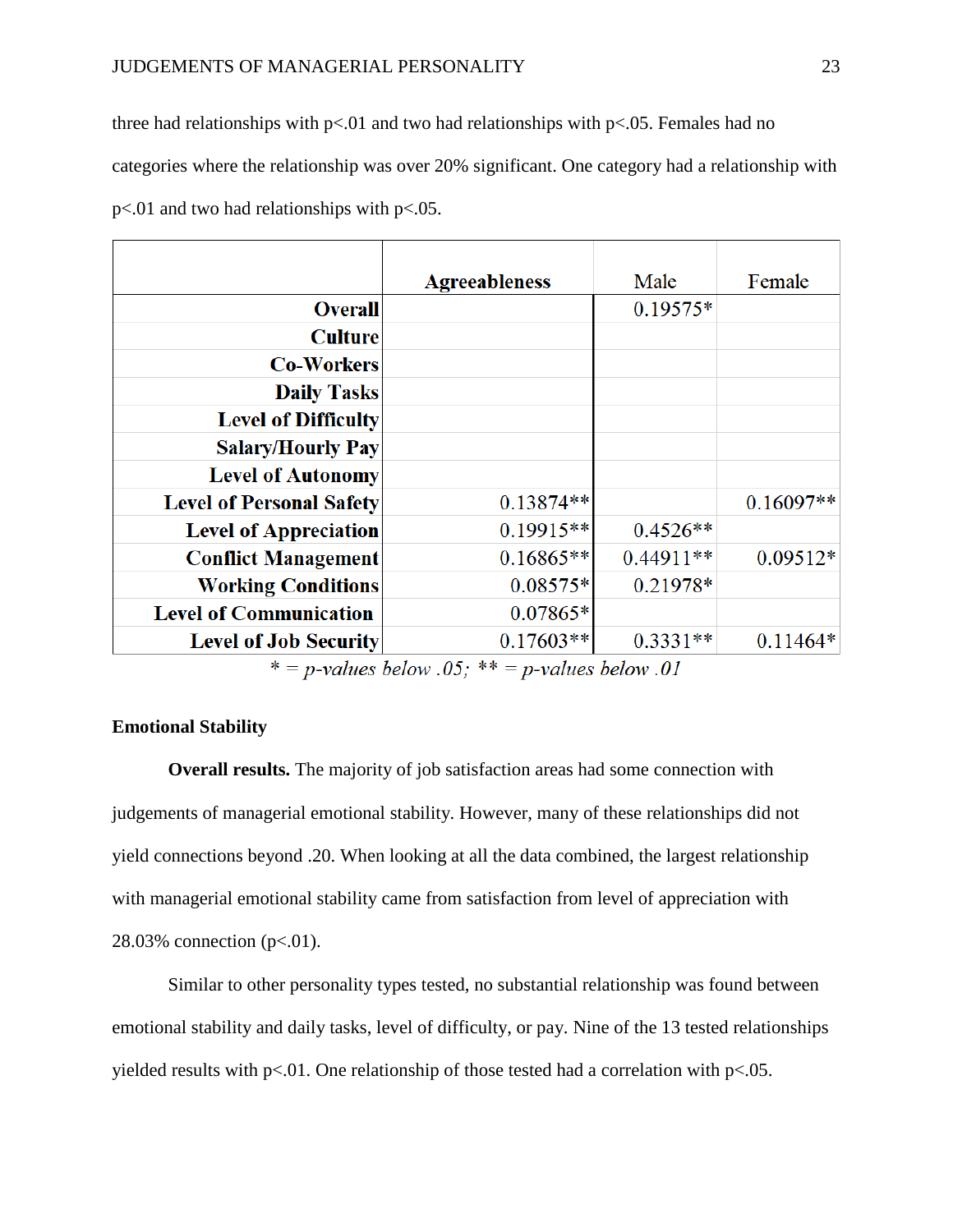three had relationships with  $p<01$  and two had relationships with  $p<0.05$ . Females had no categories where the relationship was over 20% significant. One category had a relationship with p<.01 and two had relationships with p<.05.

|                                 | <b>Agreeableness</b> | Male        | Female      |
|---------------------------------|----------------------|-------------|-------------|
| <b>Overall</b>                  |                      | $0.19575*$  |             |
| <b>Culture</b>                  |                      |             |             |
| <b>Co-Workers</b>               |                      |             |             |
| <b>Daily Tasks</b>              |                      |             |             |
| <b>Level of Difficulty</b>      |                      |             |             |
| <b>Salary/Hourly Pay</b>        |                      |             |             |
| <b>Level of Autonomy</b>        |                      |             |             |
| <b>Level of Personal Safety</b> | $0.13874**$          |             | $0.16097**$ |
| <b>Level of Appreciation</b>    | $0.19915**$          | $0.4526**$  |             |
| <b>Conflict Management</b>      | $0.16865**$          | $0.44911**$ | $0.09512*$  |
| <b>Working Conditions</b>       | $0.08575*$           | 0.21978*    |             |
| <b>Level of Communication</b>   | 0.07865*             |             |             |
| <b>Level of Job Security</b>    | $0.17603**$          | $0.3331**$  | $0.11464*$  |

\* = p-values below .05; \*\* = p-values below .01

# **Emotional Stability**

**Overall results.** The majority of job satisfaction areas had some connection with judgements of managerial emotional stability. However, many of these relationships did not yield connections beyond .20. When looking at all the data combined, the largest relationship with managerial emotional stability came from satisfaction from level of appreciation with 28.03% connection (p<.01).

Similar to other personality types tested, no substantial relationship was found between emotional stability and daily tasks, level of difficulty, or pay. Nine of the 13 tested relationships yielded results with  $p<0.01$ . One relationship of those tested had a correlation with  $p<0.05$ .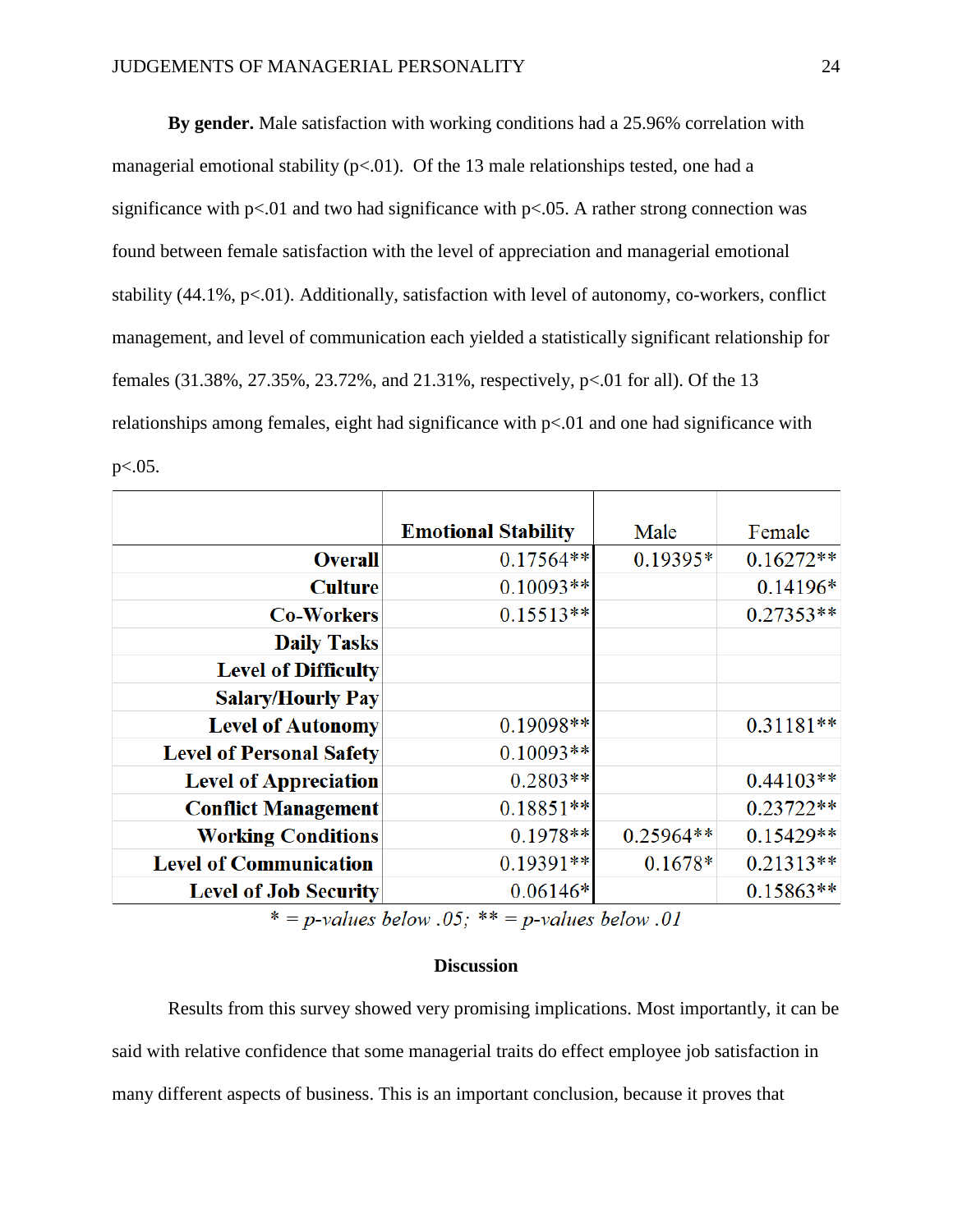**By gender.** Male satisfaction with working conditions had a 25.96% correlation with managerial emotional stability  $(p<.01)$ . Of the 13 male relationships tested, one had a significance with  $p<01$  and two had significance with  $p<0.05$ . A rather strong connection was found between female satisfaction with the level of appreciation and managerial emotional stability  $(44.1\%, p<.01)$ . Additionally, satisfaction with level of autonomy, co-workers, conflict management, and level of communication each yielded a statistically significant relationship for females (31.38%, 27.35%, 23.72%, and 21.31%, respectively, p<.01 for all). Of the 13 relationships among females, eight had significance with p<.01 and one had significance with  $p<.05$ .

|                                 | <b>Emotional Stability</b> | Male        | Female      |
|---------------------------------|----------------------------|-------------|-------------|
| <b>Overall</b>                  | $0.17564**$                | $0.19395*$  | $0.16272**$ |
| <b>Culture</b>                  | $0.10093**$                |             | $0.14196*$  |
| <b>Co-Workers</b>               | $0.15513**$                |             | $0.27353**$ |
| <b>Daily Tasks</b>              |                            |             |             |
| <b>Level of Difficulty</b>      |                            |             |             |
| <b>Salary/Hourly Pay</b>        |                            |             |             |
| <b>Level of Autonomy</b>        | 0.19098**                  |             | $0.31181**$ |
| <b>Level of Personal Safety</b> | $0.10093**$                |             |             |
| <b>Level of Appreciation</b>    | $0.2803**$                 |             | $0.44103**$ |
| <b>Conflict Management</b>      | $0.18851**$                |             | $0.23722**$ |
| <b>Working Conditions</b>       | $0.1978**$                 | $0.25964**$ | $0.15429**$ |
| <b>Level of Communication</b>   | $0.19391**$                | $0.1678*$   | $0.21313**$ |
| <b>Level of Job Security</b>    | $0.06146*$                 |             | $0.15863**$ |

\* = p-values below .05; \*\* = p-values below .01

#### **Discussion**

Results from this survey showed very promising implications. Most importantly, it can be said with relative confidence that some managerial traits do effect employee job satisfaction in many different aspects of business. This is an important conclusion, because it proves that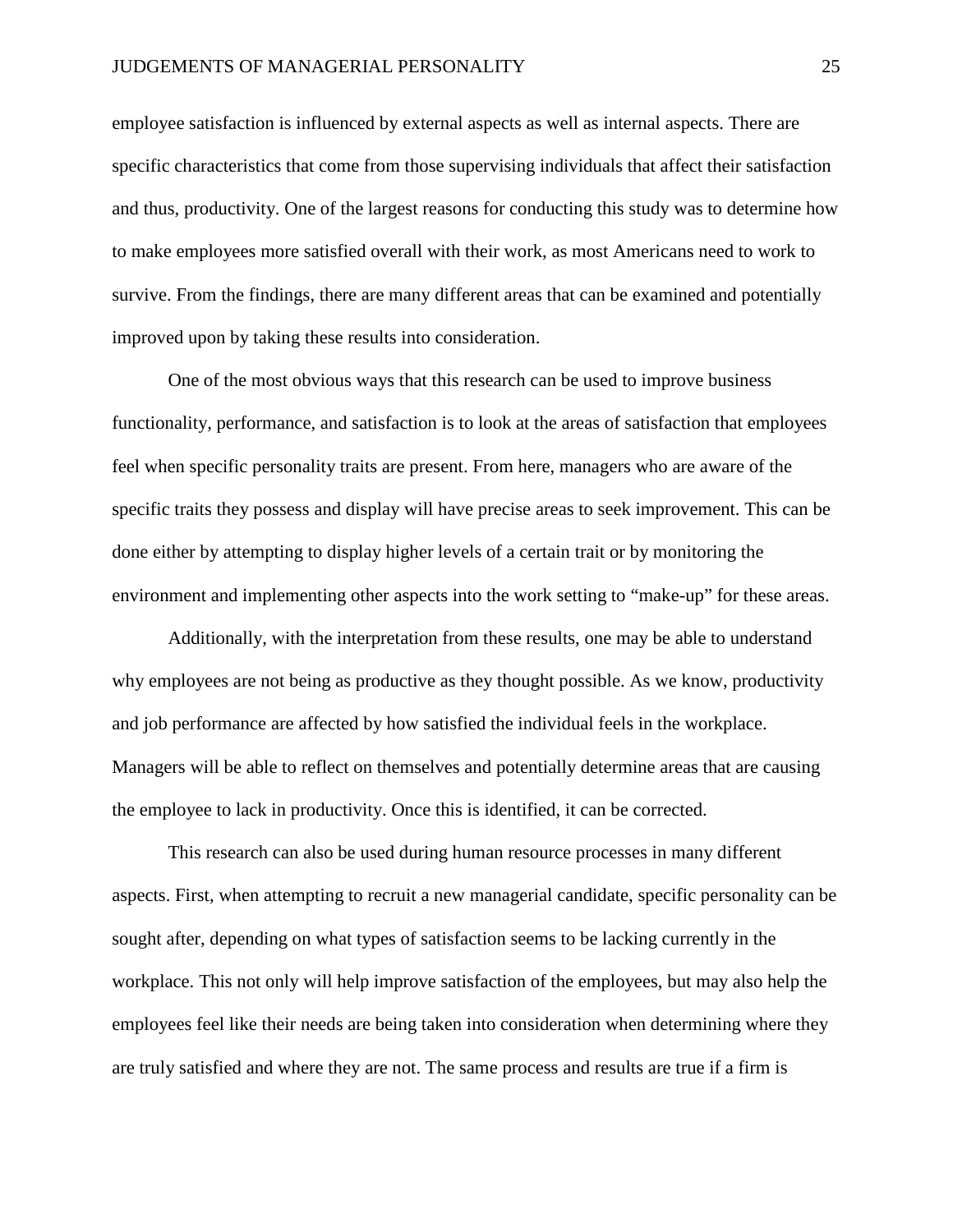employee satisfaction is influenced by external aspects as well as internal aspects. There are specific characteristics that come from those supervising individuals that affect their satisfaction and thus, productivity. One of the largest reasons for conducting this study was to determine how to make employees more satisfied overall with their work, as most Americans need to work to survive. From the findings, there are many different areas that can be examined and potentially improved upon by taking these results into consideration.

One of the most obvious ways that this research can be used to improve business functionality, performance, and satisfaction is to look at the areas of satisfaction that employees feel when specific personality traits are present. From here, managers who are aware of the specific traits they possess and display will have precise areas to seek improvement. This can be done either by attempting to display higher levels of a certain trait or by monitoring the environment and implementing other aspects into the work setting to "make-up" for these areas.

Additionally, with the interpretation from these results, one may be able to understand why employees are not being as productive as they thought possible. As we know, productivity and job performance are affected by how satisfied the individual feels in the workplace. Managers will be able to reflect on themselves and potentially determine areas that are causing the employee to lack in productivity. Once this is identified, it can be corrected.

This research can also be used during human resource processes in many different aspects. First, when attempting to recruit a new managerial candidate, specific personality can be sought after, depending on what types of satisfaction seems to be lacking currently in the workplace. This not only will help improve satisfaction of the employees, but may also help the employees feel like their needs are being taken into consideration when determining where they are truly satisfied and where they are not. The same process and results are true if a firm is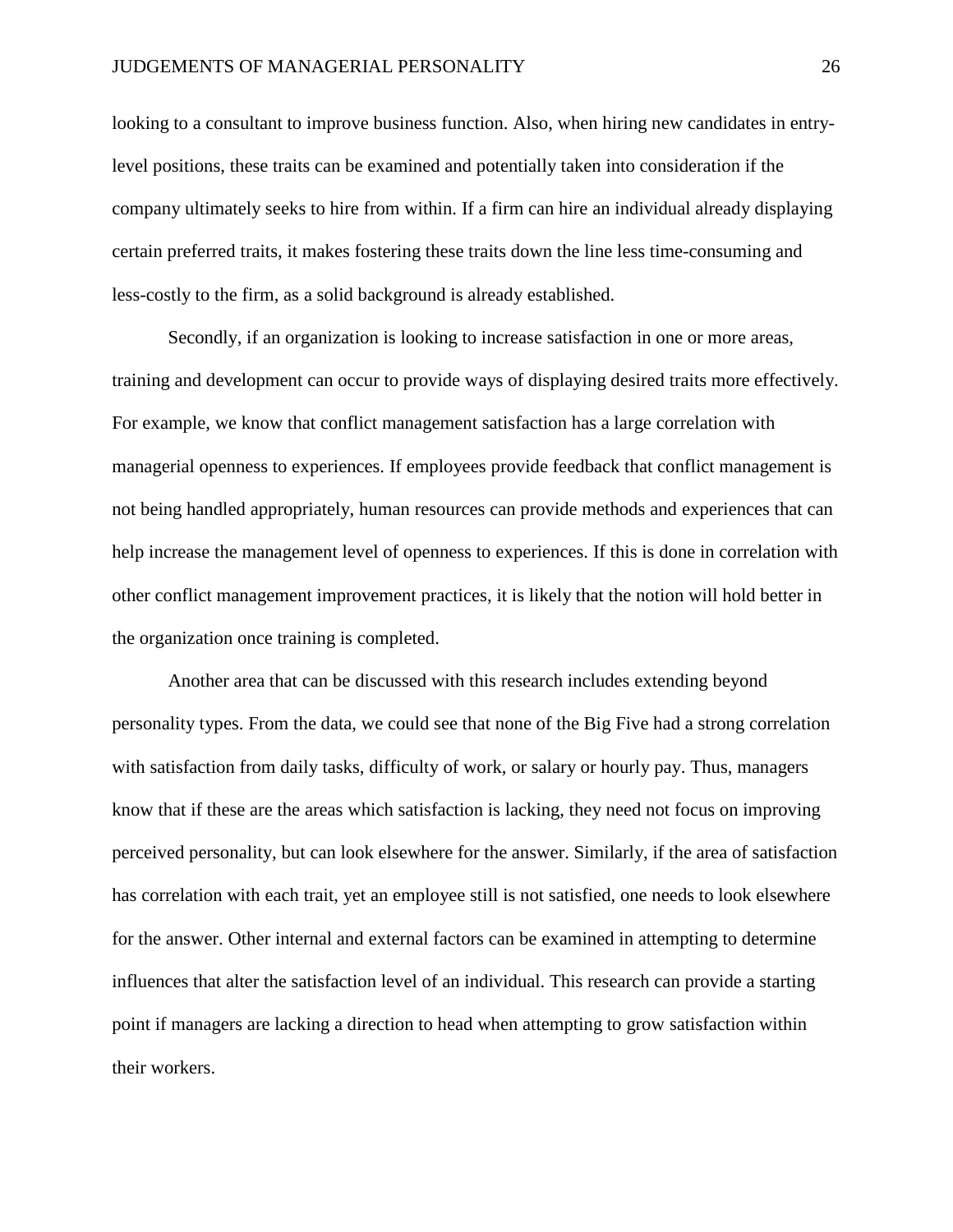looking to a consultant to improve business function. Also, when hiring new candidates in entrylevel positions, these traits can be examined and potentially taken into consideration if the company ultimately seeks to hire from within. If a firm can hire an individual already displaying certain preferred traits, it makes fostering these traits down the line less time-consuming and less-costly to the firm, as a solid background is already established.

Secondly, if an organization is looking to increase satisfaction in one or more areas, training and development can occur to provide ways of displaying desired traits more effectively. For example, we know that conflict management satisfaction has a large correlation with managerial openness to experiences. If employees provide feedback that conflict management is not being handled appropriately, human resources can provide methods and experiences that can help increase the management level of openness to experiences. If this is done in correlation with other conflict management improvement practices, it is likely that the notion will hold better in the organization once training is completed.

Another area that can be discussed with this research includes extending beyond personality types. From the data, we could see that none of the Big Five had a strong correlation with satisfaction from daily tasks, difficulty of work, or salary or hourly pay. Thus, managers know that if these are the areas which satisfaction is lacking, they need not focus on improving perceived personality, but can look elsewhere for the answer. Similarly, if the area of satisfaction has correlation with each trait, yet an employee still is not satisfied, one needs to look elsewhere for the answer. Other internal and external factors can be examined in attempting to determine influences that alter the satisfaction level of an individual. This research can provide a starting point if managers are lacking a direction to head when attempting to grow satisfaction within their workers.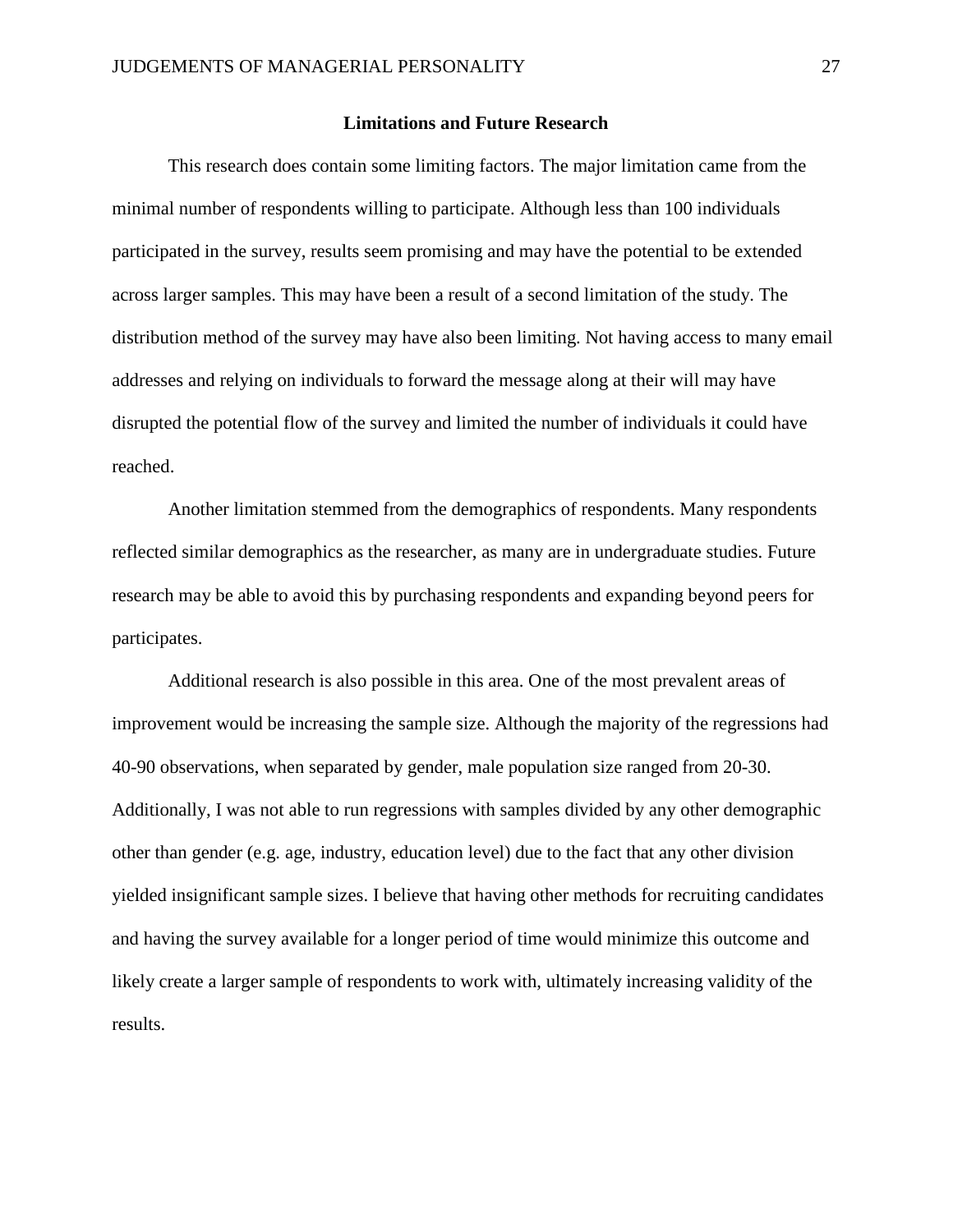#### **Limitations and Future Research**

This research does contain some limiting factors. The major limitation came from the minimal number of respondents willing to participate. Although less than 100 individuals participated in the survey, results seem promising and may have the potential to be extended across larger samples. This may have been a result of a second limitation of the study. The distribution method of the survey may have also been limiting. Not having access to many email addresses and relying on individuals to forward the message along at their will may have disrupted the potential flow of the survey and limited the number of individuals it could have reached.

Another limitation stemmed from the demographics of respondents. Many respondents reflected similar demographics as the researcher, as many are in undergraduate studies. Future research may be able to avoid this by purchasing respondents and expanding beyond peers for participates.

Additional research is also possible in this area. One of the most prevalent areas of improvement would be increasing the sample size. Although the majority of the regressions had 40-90 observations, when separated by gender, male population size ranged from 20-30. Additionally, I was not able to run regressions with samples divided by any other demographic other than gender (e.g. age, industry, education level) due to the fact that any other division yielded insignificant sample sizes. I believe that having other methods for recruiting candidates and having the survey available for a longer period of time would minimize this outcome and likely create a larger sample of respondents to work with, ultimately increasing validity of the results.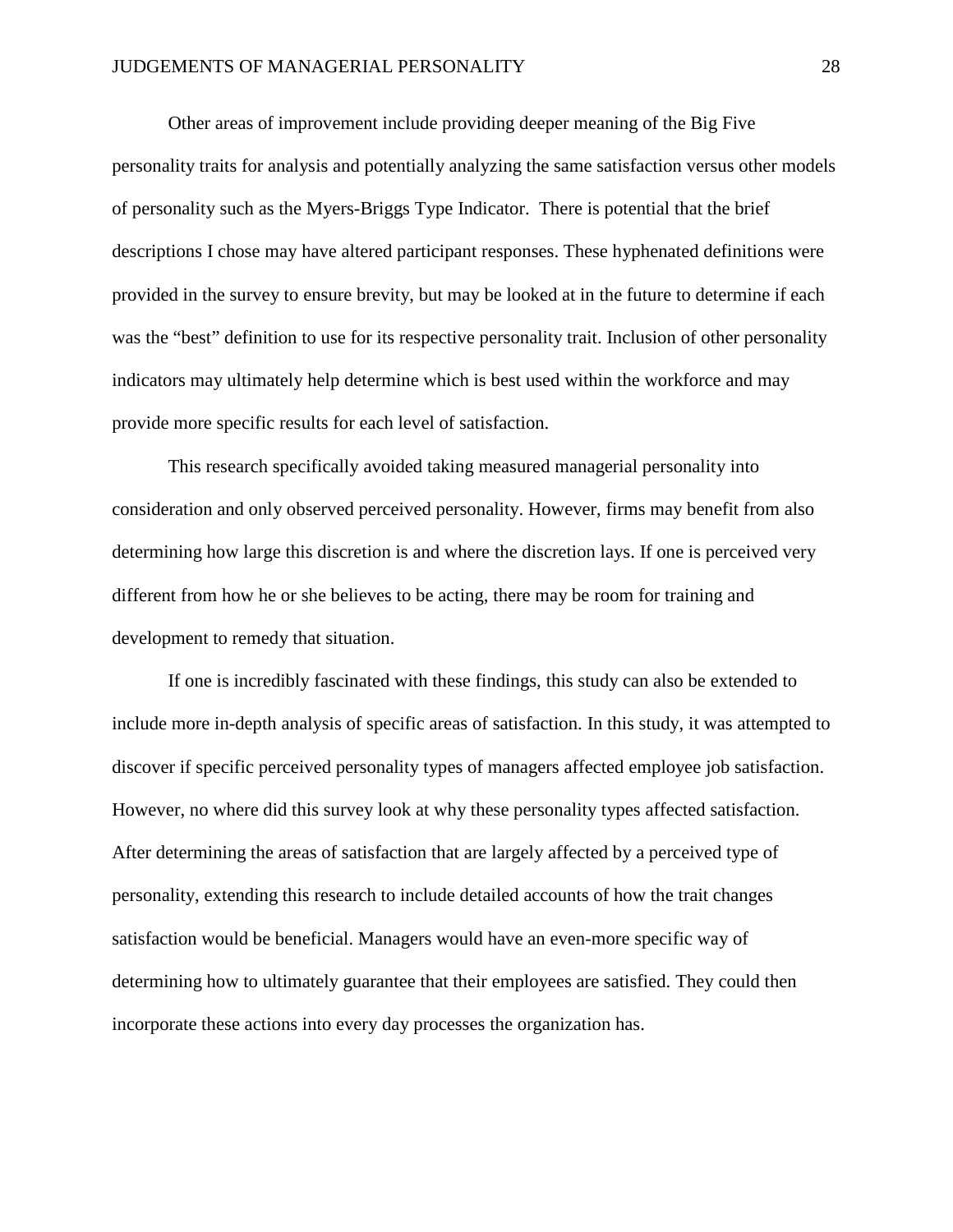Other areas of improvement include providing deeper meaning of the Big Five personality traits for analysis and potentially analyzing the same satisfaction versus other models of personality such as the Myers-Briggs Type Indicator. There is potential that the brief descriptions I chose may have altered participant responses. These hyphenated definitions were provided in the survey to ensure brevity, but may be looked at in the future to determine if each was the "best" definition to use for its respective personality trait. Inclusion of other personality indicators may ultimately help determine which is best used within the workforce and may provide more specific results for each level of satisfaction.

This research specifically avoided taking measured managerial personality into consideration and only observed perceived personality. However, firms may benefit from also determining how large this discretion is and where the discretion lays. If one is perceived very different from how he or she believes to be acting, there may be room for training and development to remedy that situation.

If one is incredibly fascinated with these findings, this study can also be extended to include more in-depth analysis of specific areas of satisfaction. In this study, it was attempted to discover if specific perceived personality types of managers affected employee job satisfaction. However, no where did this survey look at why these personality types affected satisfaction. After determining the areas of satisfaction that are largely affected by a perceived type of personality, extending this research to include detailed accounts of how the trait changes satisfaction would be beneficial. Managers would have an even-more specific way of determining how to ultimately guarantee that their employees are satisfied. They could then incorporate these actions into every day processes the organization has.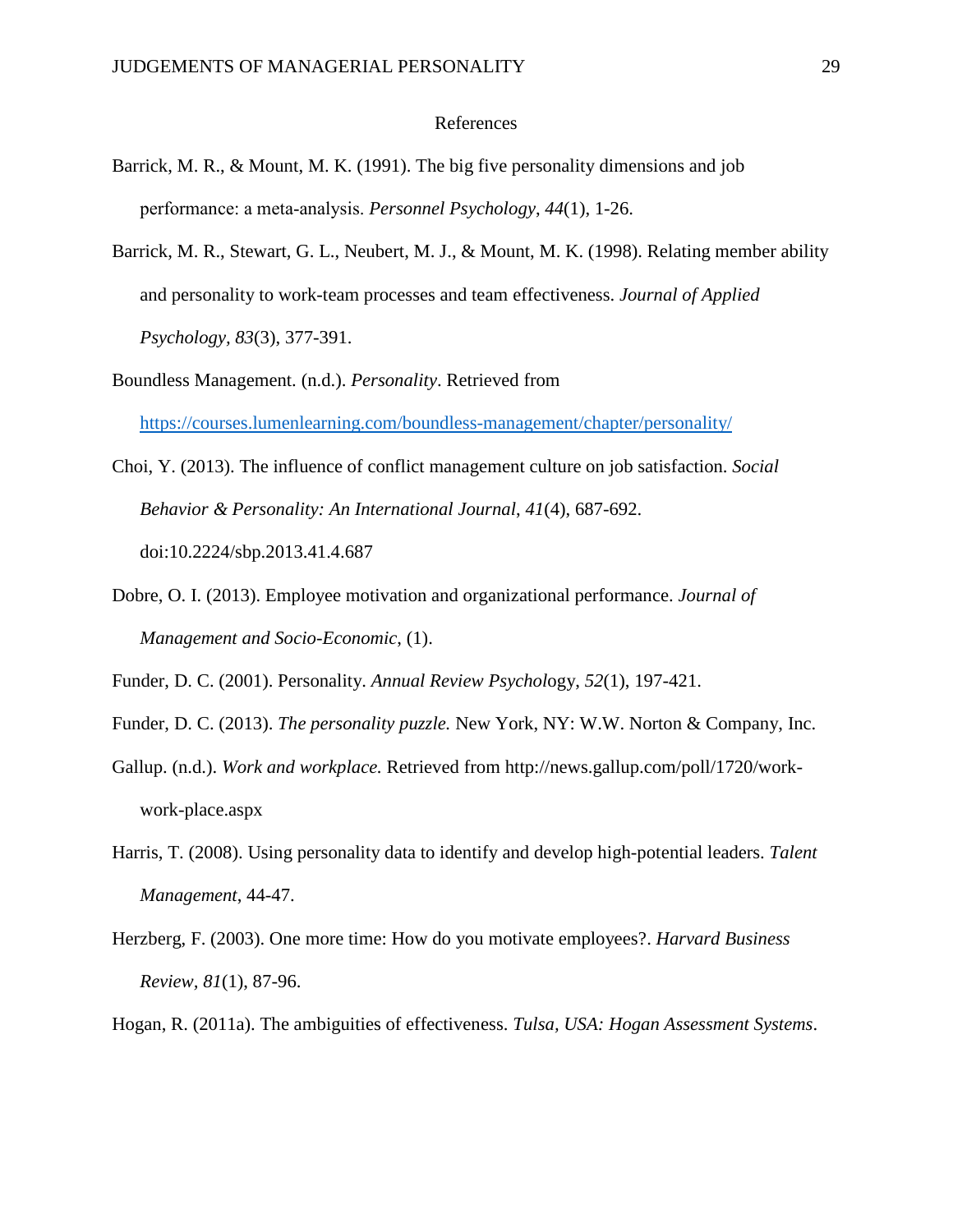#### References

- Barrick, M. R., & Mount, M. K. (1991). The big five personality dimensions and job performance: a meta‐analysis. *Personnel Psychology*, *44*(1), 1-26.
- Barrick, M. R., Stewart, G. L., Neubert, M. J., & Mount, M. K. (1998). Relating member ability and personality to work-team processes and team effectiveness. *Journal of Applied Psychology, 83*(3), 377-391.
- Boundless Management. (n.d.). *Personality*. Retrieved from <https://courses.lumenlearning.com/boundless-management/chapter/personality/>
- Choi, Y. (2013). The influence of conflict management culture on job satisfaction. *Social Behavior & Personality: An International Journal*, *41*(4), 687-692. doi:10.2224/sbp.2013.41.4.687
- Dobre, O. I. (2013). Employee motivation and organizational performance. *Journal of Management and Socio-Economic*, (1).

Funder, D. C. (2001). Personality. *Annual Review Psychol*ogy, *52*(1), 197-421.

- Funder, D. C. (2013). *The personality puzzle.* New York, NY: W.W. Norton & Company, Inc.
- Gallup. (n.d.). *Work and workplace.* Retrieved from http://news.gallup.com/poll/1720/workwork-place.aspx
- Harris, T. (2008). Using personality data to identify and develop high-potential leaders. *Talent Management*, 44-47.
- Herzberg, F. (2003). One more time: How do you motivate employees?. *Harvard Business Review, 81*(1), 87-96.
- Hogan, R. (2011a). The ambiguities of effectiveness. *Tulsa, USA: Hogan Assessment Systems*.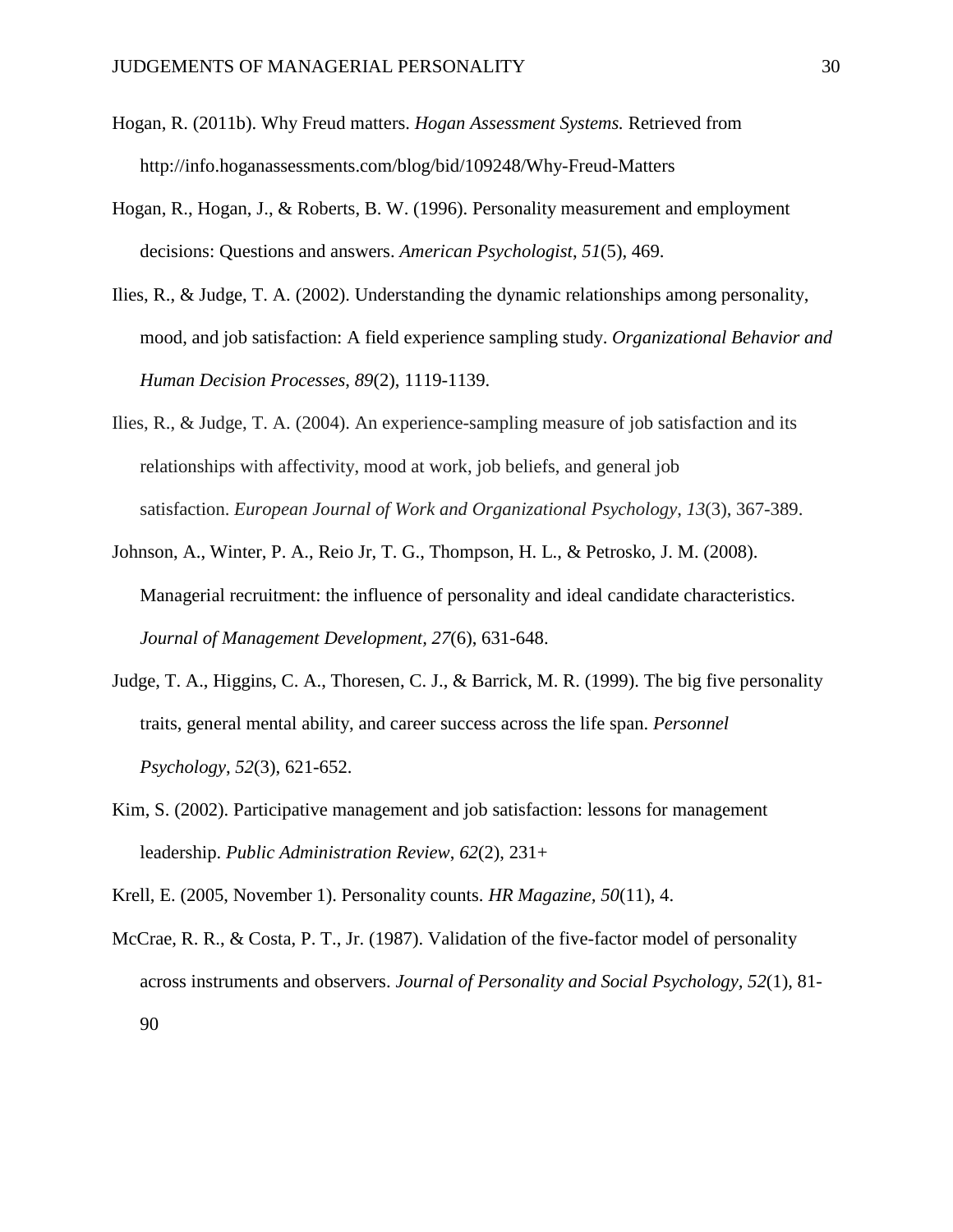- Hogan, R. (2011b). Why Freud matters. *Hogan Assessment Systems.* Retrieved from http://info.hoganassessments.com/blog/bid/109248/Why-Freud-Matters
- Hogan, R., Hogan, J., & Roberts, B. W. (1996). Personality measurement and employment decisions: Questions and answers. *American Psychologist*, *51*(5), 469.
- Ilies, R., & Judge, T. A. (2002). Understanding the dynamic relationships among personality, mood, and job satisfaction: A field experience sampling study. *Organizational Behavior and Human Decision Processes*, *89*(2), 1119-1139.
- Ilies, R., & Judge, T. A. (2004). An experience-sampling measure of job satisfaction and its relationships with affectivity, mood at work, job beliefs, and general job satisfaction. *European Journal of Work and Organizational Psychology*, *13*(3), 367-389.
- Johnson, A., Winter, P. A., Reio Jr, T. G., Thompson, H. L., & Petrosko, J. M. (2008). Managerial recruitment: the influence of personality and ideal candidate characteristics. *Journal of Management Development, 27*(6), 631-648.
- Judge, T. A., Higgins, C. A., Thoresen, C. J., & Barrick, M. R. (1999). The big five personality traits, general mental ability, and career success across the life span. *Personnel Psychology*, *52*(3), 621-652.
- Kim, S. (2002). Participative management and job satisfaction: lessons for management leadership. *Public Administration Review*, *62*(2), 231+

Krell, E. (2005, November 1). Personality counts. *HR Magazine, 50*(11), 4.

McCrae, R. R., & Costa, P. T., Jr. (1987). Validation of the five-factor model of personality across instruments and observers. *Journal of Personality and Social Psychology, 52*(1), 81- 90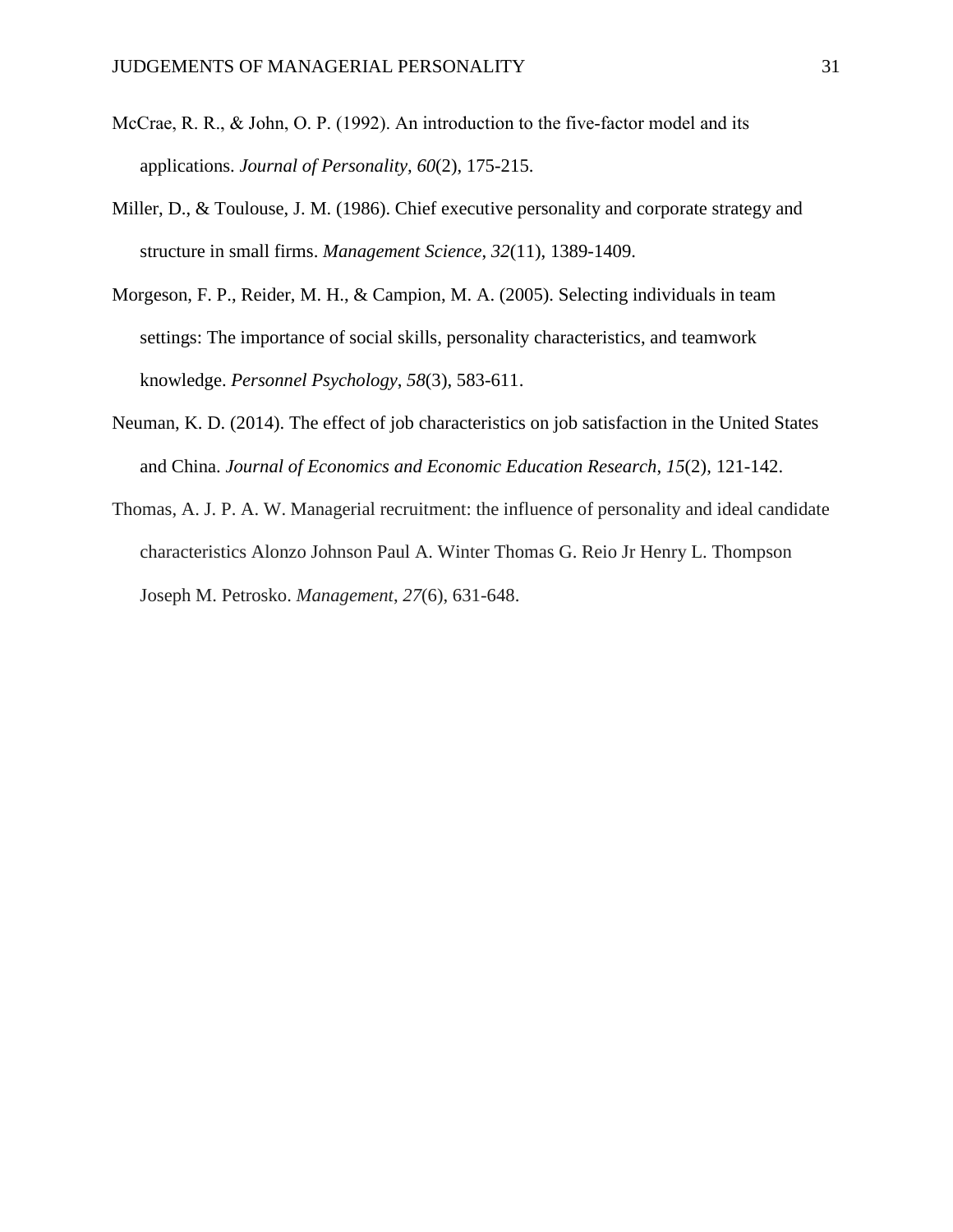- McCrae, R. R., & John, O. P. (1992). An introduction to the five-factor model and its applications. *Journal of Personality, 60*(2), 175-215.
- Miller, D., & Toulouse, J. M. (1986). Chief executive personality and corporate strategy and structure in small firms. *Management Science*, *32*(11), 1389-1409.
- Morgeson, F. P., Reider, M. H., & Campion, M. A. (2005). Selecting individuals in team settings: The importance of social skills, personality characteristics, and teamwork knowledge. *Personnel Psychology*, *58*(3), 583-611.
- Neuman, K. D. (2014). The effect of job characteristics on job satisfaction in the United States and China. *Journal of Economics and Economic Education Research*, *15*(2), 121-142.
- Thomas, A. J. P. A. W. Managerial recruitment: the influence of personality and ideal candidate characteristics Alonzo Johnson Paul A. Winter Thomas G. Reio Jr Henry L. Thompson Joseph M. Petrosko. *Management*, *27*(6), 631-648.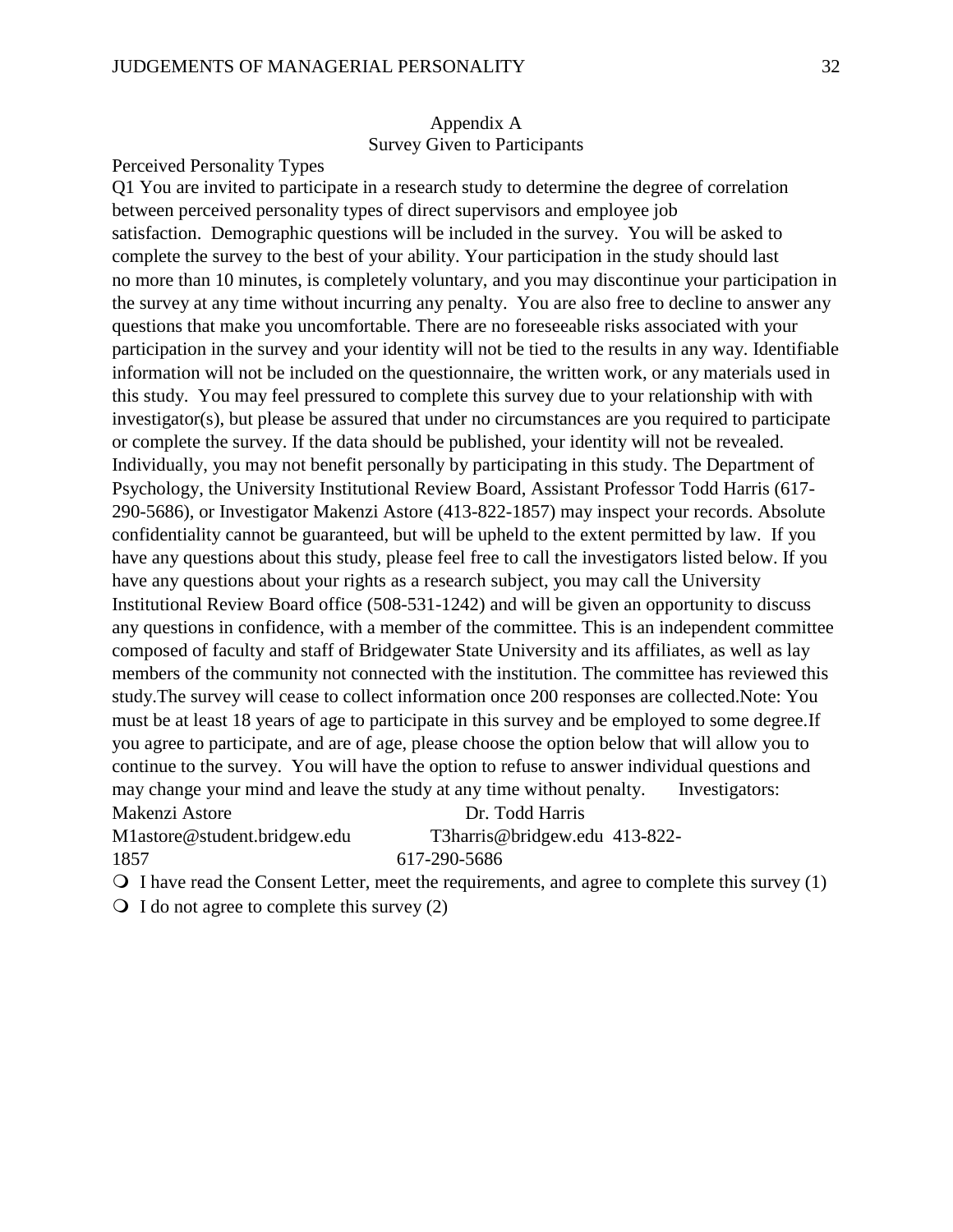# Appendix A Survey Given to Participants

#### Perceived Personality Types

Q1 You are invited to participate in a research study to determine the degree of correlation between perceived personality types of direct supervisors and employee job satisfaction. Demographic questions will be included in the survey. You will be asked to complete the survey to the best of your ability. Your participation in the study should last no more than 10 minutes, is completely voluntary, and you may discontinue your participation in the survey at any time without incurring any penalty. You are also free to decline to answer any questions that make you uncomfortable. There are no foreseeable risks associated with your participation in the survey and your identity will not be tied to the results in any way. Identifiable information will not be included on the questionnaire, the written work, or any materials used in this study. You may feel pressured to complete this survey due to your relationship with with investigator(s), but please be assured that under no circumstances are you required to participate or complete the survey. If the data should be published, your identity will not be revealed. Individually, you may not benefit personally by participating in this study. The Department of Psychology, the University Institutional Review Board, Assistant Professor Todd Harris (617- 290-5686), or Investigator Makenzi Astore (413-822-1857) may inspect your records. Absolute confidentiality cannot be guaranteed, but will be upheld to the extent permitted by law. If you have any questions about this study, please feel free to call the investigators listed below. If you have any questions about your rights as a research subject, you may call the University Institutional Review Board office (508-531-1242) and will be given an opportunity to discuss any questions in confidence, with a member of the committee. This is an independent committee composed of faculty and staff of Bridgewater State University and its affiliates, as well as lay members of the community not connected with the institution. The committee has reviewed this study.The survey will cease to collect information once 200 responses are collected.Note: You must be at least 18 years of age to participate in this survey and be employed to some degree.If you agree to participate, and are of age, please choose the option below that will allow you to continue to the survey. You will have the option to refuse to answer individual questions and may change your mind and leave the study at any time without penalty. Investigators: Makenzi Astore Dr. Todd Harris

M1astore@student.bridgew.edu T3harris@bridgew.edu 413-822-

1857 617-290-5686

 $\bigcirc$  I have read the Consent Letter, meet the requirements, and agree to complete this survey (1)

 $\bigcirc$  I do not agree to complete this survey (2)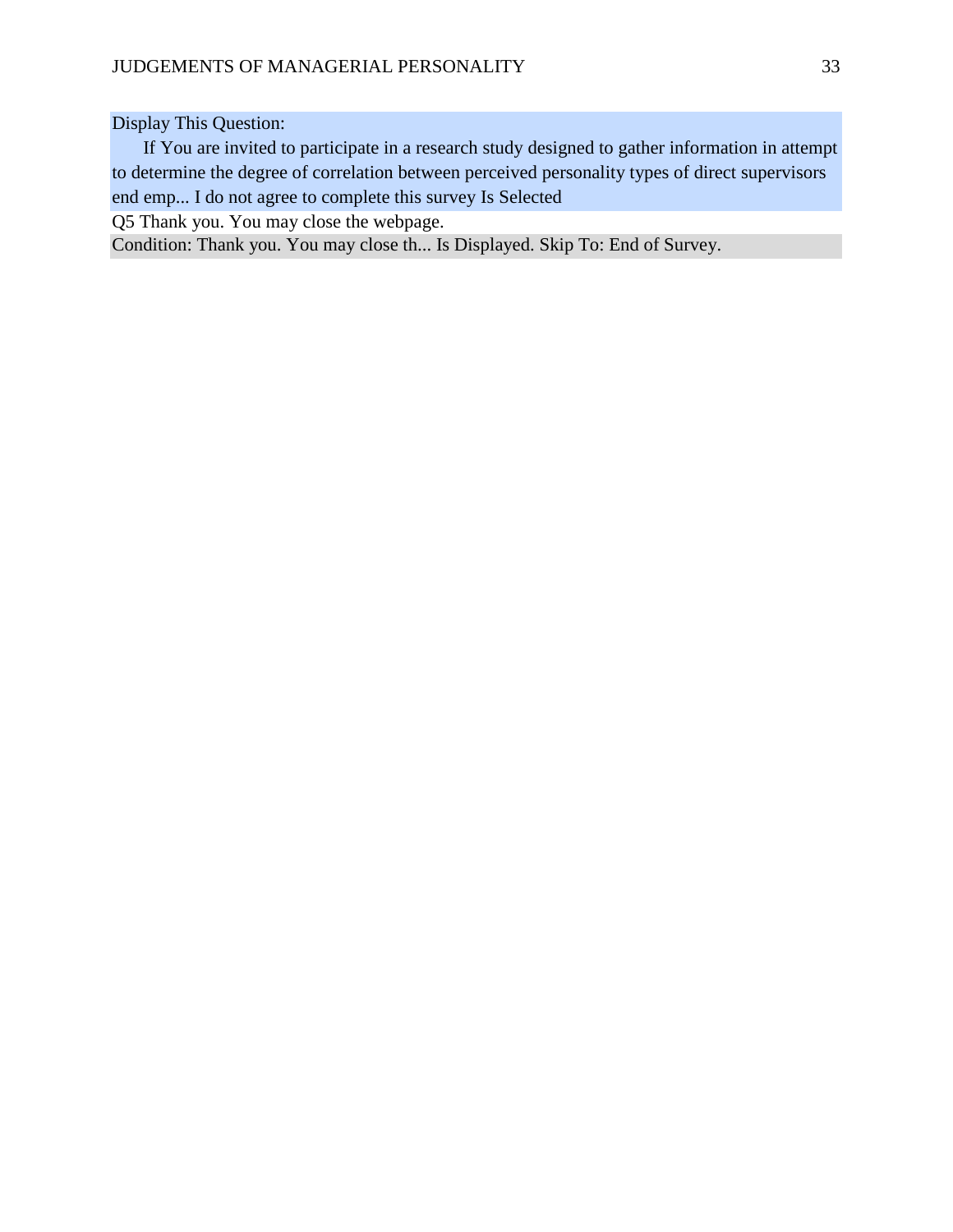Display This Question:

If You are invited to participate in a research study designed to gather information in attempt to determine the degree of correlation between perceived personality types of direct supervisors end emp... I do not agree to complete this survey Is Selected

Q5 Thank you. You may close the webpage.

Condition: Thank you. You may close th... Is Displayed. Skip To: End of Survey.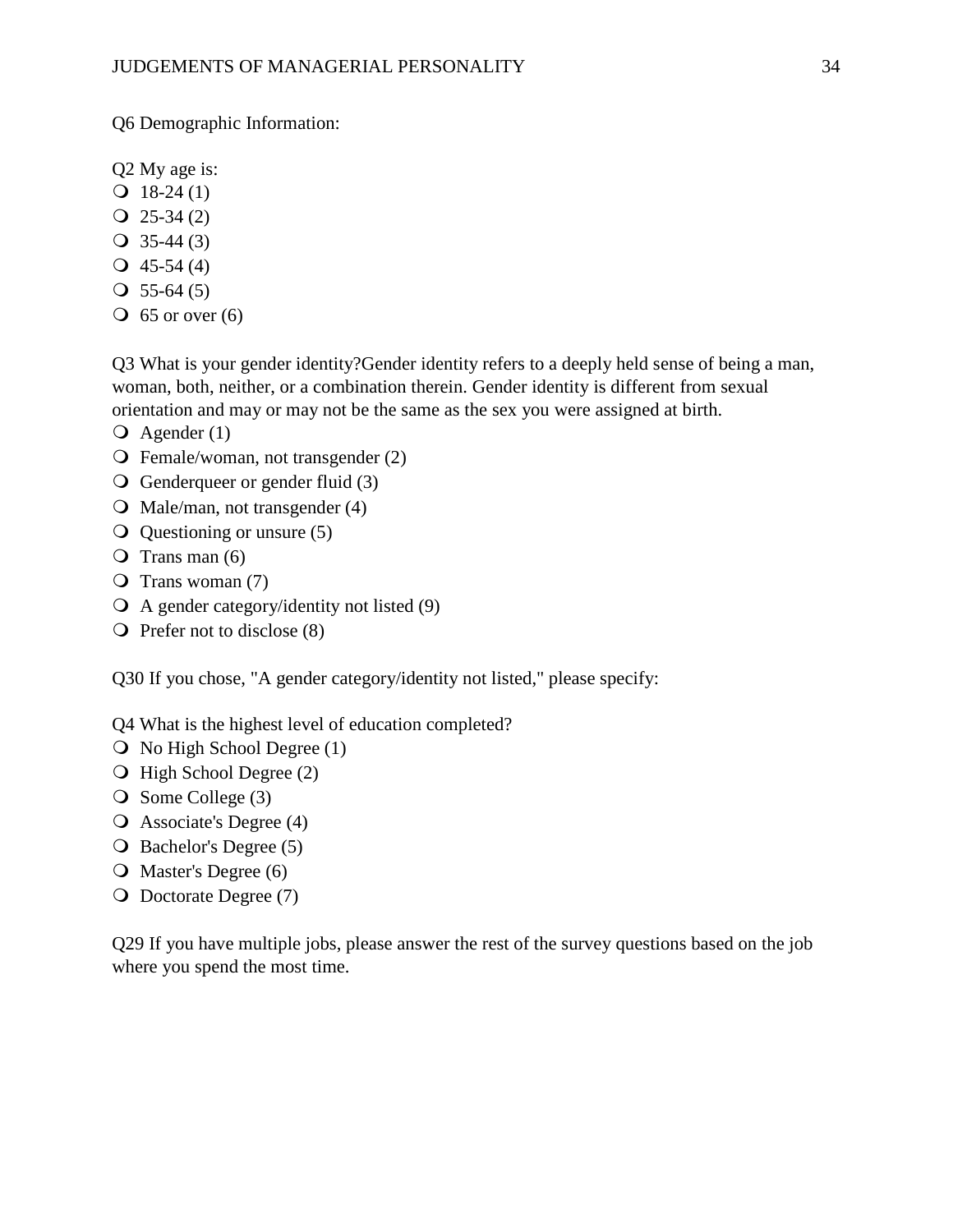Q6 Demographic Information:

Q2 My age is:

- $Q$  18-24 (1)
- $Q$  25-34 (2)
- $\bigcirc$  35-44 (3)
- $\textbf{Q}$  45-54 (4)
- $\textcircled{1}$  55-64 (5)
- $\overline{O}$  65 or over (6)

Q3 What is your gender identity?Gender identity refers to a deeply held sense of being a man, woman, both, neither, or a combination therein. Gender identity is different from sexual orientation and may or may not be the same as the sex you were assigned at birth.

- $\overline{Q}$  Agender (1)
- Female/woman, not transgender (2)
- $\overline{Q}$  Genderqueer or gender fluid (3)
- $\overline{Q}$  Male/man, not transgender (4)
- $\overline{Q}$  Questioning or unsure (5)
- $\overline{O}$  Trans man (6)
- $\overline{O}$  Trans woman (7)
- A gender category/identity not listed (9)
- $\overline{O}$  Prefer not to disclose (8)

Q30 If you chose, "A gender category/identity not listed," please specify:

Q4 What is the highest level of education completed?

- $\overline{O}$  No High School Degree (1)
- O High School Degree (2)
- $\bigcirc$  Some College (3)
- Associate's Degree (4)
- O Bachelor's Degree (5)
- O Master's Degree (6)
- O Doctorate Degree (7)

Q29 If you have multiple jobs, please answer the rest of the survey questions based on the job where you spend the most time.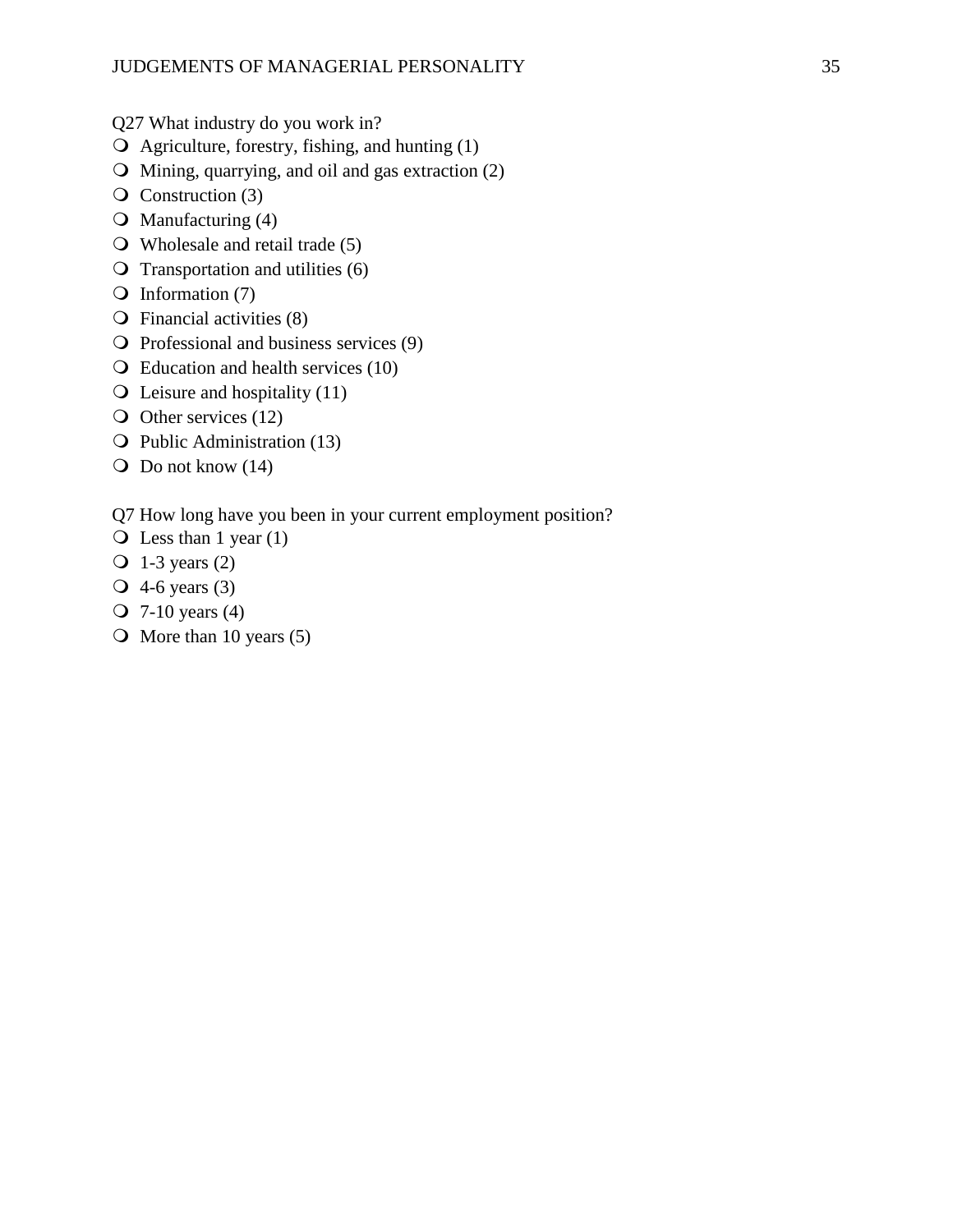Q27 What industry do you work in?

- $\overline{Q}$  Agriculture, forestry, fishing, and hunting (1)
- Mining, quarrying, and oil and gas extraction (2)
- $\overline{Q}$  Construction (3)
- $\bigcirc$  Manufacturing (4)
- Wholesale and retail trade (5)
- $\overline{Q}$  Transportation and utilities (6)
- $\bigcirc$  Information (7)
- $\overline{O}$  Financial activities (8)
- $\overline{Q}$  Professional and business services (9)
- Education and health services (10)
- $\overline{Q}$  Leisure and hospitality (11)
- O Other services (12)
- $\overline{Q}$  Public Administration (13)
- $\overline{O}$  Do not know (14)

Q7 How long have you been in your current employment position?

- $\overline{Q}$  Less than 1 year (1)
- $\overline{O}$  1-3 years (2)
- 4-6 years (3)
- 7-10 years (4)
- $\bigcirc$  More than 10 years (5)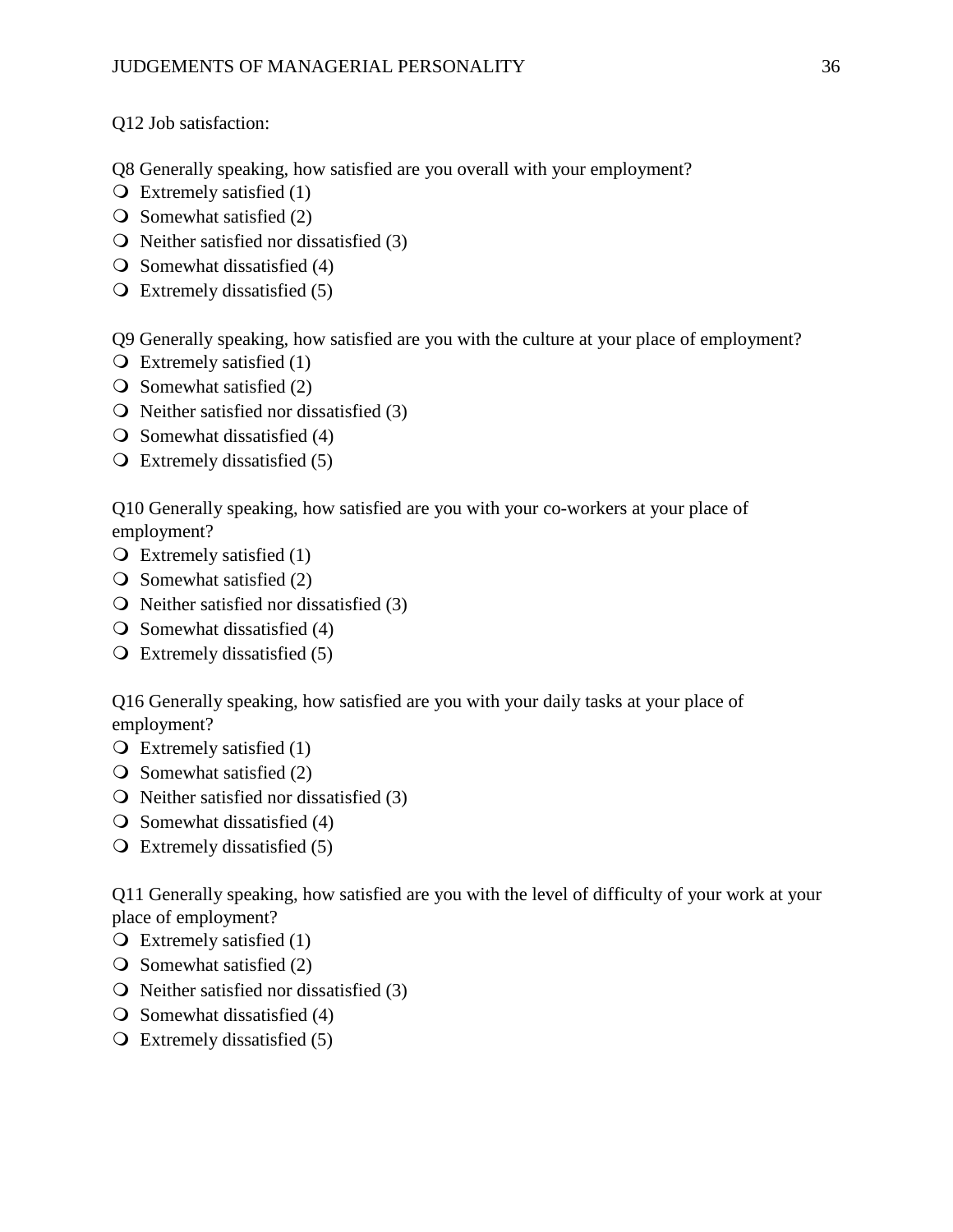Q12 Job satisfaction:

Q8 Generally speaking, how satisfied are you overall with your employment?

- $\overline{O}$  Extremely satisfied (1)
- $\overline{O}$  Somewhat satisfied (2)
- $\Omega$  Neither satisfied nor dissatisfied (3)
- $\overline{O}$  Somewhat dissatisfied (4)
- Extremely dissatisfied (5)

Q9 Generally speaking, how satisfied are you with the culture at your place of employment?

- $\overline{O}$  Extremely satisfied (1)
- $\bigcirc$  Somewhat satisfied (2)
- $\overline{O}$  Neither satisfied nor dissatisfied (3)
- $\bigcirc$  Somewhat dissatisfied (4)
- $\overline{Q}$  Extremely dissatisfied (5)

Q10 Generally speaking, how satisfied are you with your co-workers at your place of employment?

- $\overline{Q}$  Extremely satisfied (1)
- $\overline{O}$  Somewhat satisfied (2)
- $\overline{Q}$  Neither satisfied nor dissatisfied (3)
- $\overline{O}$  Somewhat dissatisfied (4)
- Extremely dissatisfied (5)

Q16 Generally speaking, how satisfied are you with your daily tasks at your place of employment?

- $\overline{O}$  Extremely satisfied (1)
- $\overline{O}$  Somewhat satisfied (2)
- $\bigcirc$  Neither satisfied nor dissatisfied (3)
- $\overline{O}$  Somewhat dissatisfied (4)
- Extremely dissatisfied (5)

Q11 Generally speaking, how satisfied are you with the level of difficulty of your work at your place of employment?

- $\overline{O}$  Extremely satisfied (1)
- $\bigcirc$  Somewhat satisfied (2)
- $\overline{Q}$  Neither satisfied nor dissatisfied (3)
- $\overline{O}$  Somewhat dissatisfied (4)
- $\overline{Q}$  Extremely dissatisfied (5)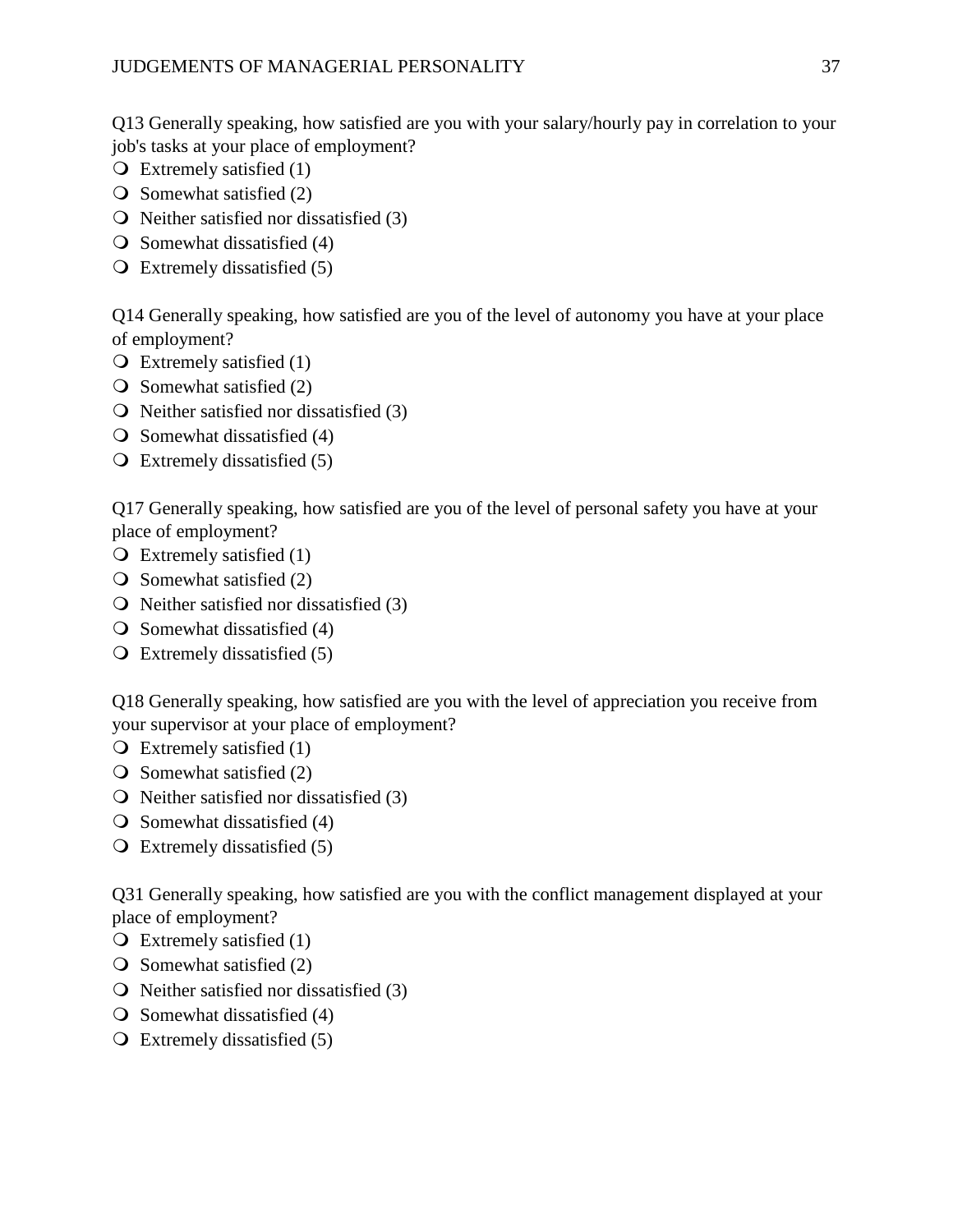Q13 Generally speaking, how satisfied are you with your salary/hourly pay in correlation to your job's tasks at your place of employment?

- $\overline{O}$  Extremely satisfied (1)
- $\bigcirc$  Somewhat satisfied (2)
- $\overline{O}$  Neither satisfied nor dissatisfied (3)
- $\overline{O}$  Somewhat dissatisfied (4)
- $\overline{Q}$  Extremely dissatisfied (5)

Q14 Generally speaking, how satisfied are you of the level of autonomy you have at your place of employment?

- $\overline{O}$  Extremely satisfied (1)
- $\bigcirc$  Somewhat satisfied (2)
- $\overline{O}$  Neither satisfied nor dissatisfied (3)
- $\overline{O}$  Somewhat dissatisfied (4)
- $\overline{Q}$  Extremely dissatisfied (5)

Q17 Generally speaking, how satisfied are you of the level of personal safety you have at your place of employment?

- $\overline{O}$  Extremely satisfied (1)
- $\overline{O}$  Somewhat satisfied (2)
- $\overline{Q}$  Neither satisfied nor dissatisfied (3)
- $\overline{O}$  Somewhat dissatisfied (4)
- $\overline{Q}$  Extremely dissatisfied (5)

Q18 Generally speaking, how satisfied are you with the level of appreciation you receive from your supervisor at your place of employment?

- $\overline{Q}$  Extremely satisfied (1)
- $\overline{O}$  Somewhat satisfied (2)
- $\overline{Q}$  Neither satisfied nor dissatisfied (3)
- $\overline{O}$  Somewhat dissatisfied (4)
- Extremely dissatisfied (5)

Q31 Generally speaking, how satisfied are you with the conflict management displayed at your place of employment?

- $\overline{O}$  Extremely satisfied (1)
- $\overline{O}$  Somewhat satisfied (2)
- $\overline{Q}$  Neither satisfied nor dissatisfied (3)
- $\overline{O}$  Somewhat dissatisfied (4)
- $\overline{Q}$  Extremely dissatisfied (5)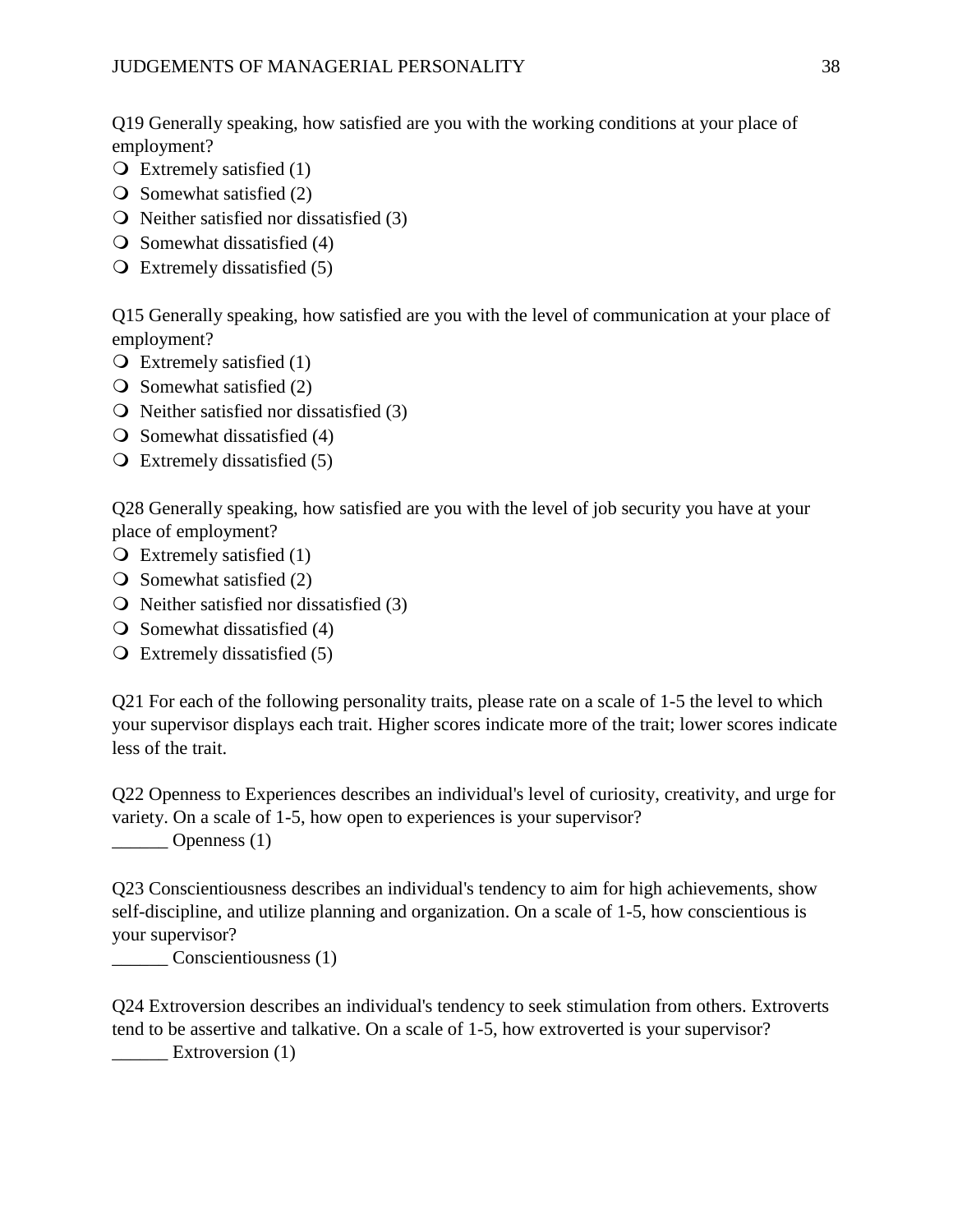Q19 Generally speaking, how satisfied are you with the working conditions at your place of employment?

- $\overline{Q}$  Extremely satisfied (1)
- $\bigcirc$  Somewhat satisfied (2)
- $\bigcirc$  Neither satisfied nor dissatisfied (3)
- $\overline{O}$  Somewhat dissatisfied (4)
- $\overline{Q}$  Extremely dissatisfied (5)

Q15 Generally speaking, how satisfied are you with the level of communication at your place of employment?

- $\overline{Q}$  Extremely satisfied (1)
- $\bigcirc$  Somewhat satisfied (2)
- $\overline{O}$  Neither satisfied nor dissatisfied (3)
- $\overline{O}$  Somewhat dissatisfied (4)
- $\overline{Q}$  Extremely dissatisfied (5)

Q28 Generally speaking, how satisfied are you with the level of job security you have at your place of employment?

- $\overline{O}$  Extremely satisfied (1)
- $\overline{O}$  Somewhat satisfied (2)
- $\overline{Q}$  Neither satisfied nor dissatisfied (3)
- $\overline{O}$  Somewhat dissatisfied (4)
- Extremely dissatisfied (5)

Q21 For each of the following personality traits, please rate on a scale of 1-5 the level to which your supervisor displays each trait. Higher scores indicate more of the trait; lower scores indicate less of the trait.

Q22 Openness to Experiences describes an individual's level of curiosity, creativity, and urge for variety. On a scale of 1-5, how open to experiences is your supervisor? \_\_\_\_\_\_ Openness (1)

Q23 Conscientiousness describes an individual's tendency to aim for high achievements, show self-discipline, and utilize planning and organization. On a scale of 1-5, how conscientious is your supervisor?

\_\_\_\_\_\_ Conscientiousness (1)

Q24 Extroversion describes an individual's tendency to seek stimulation from others. Extroverts tend to be assertive and talkative. On a scale of 1-5, how extroverted is your supervisor?

Extroversion (1)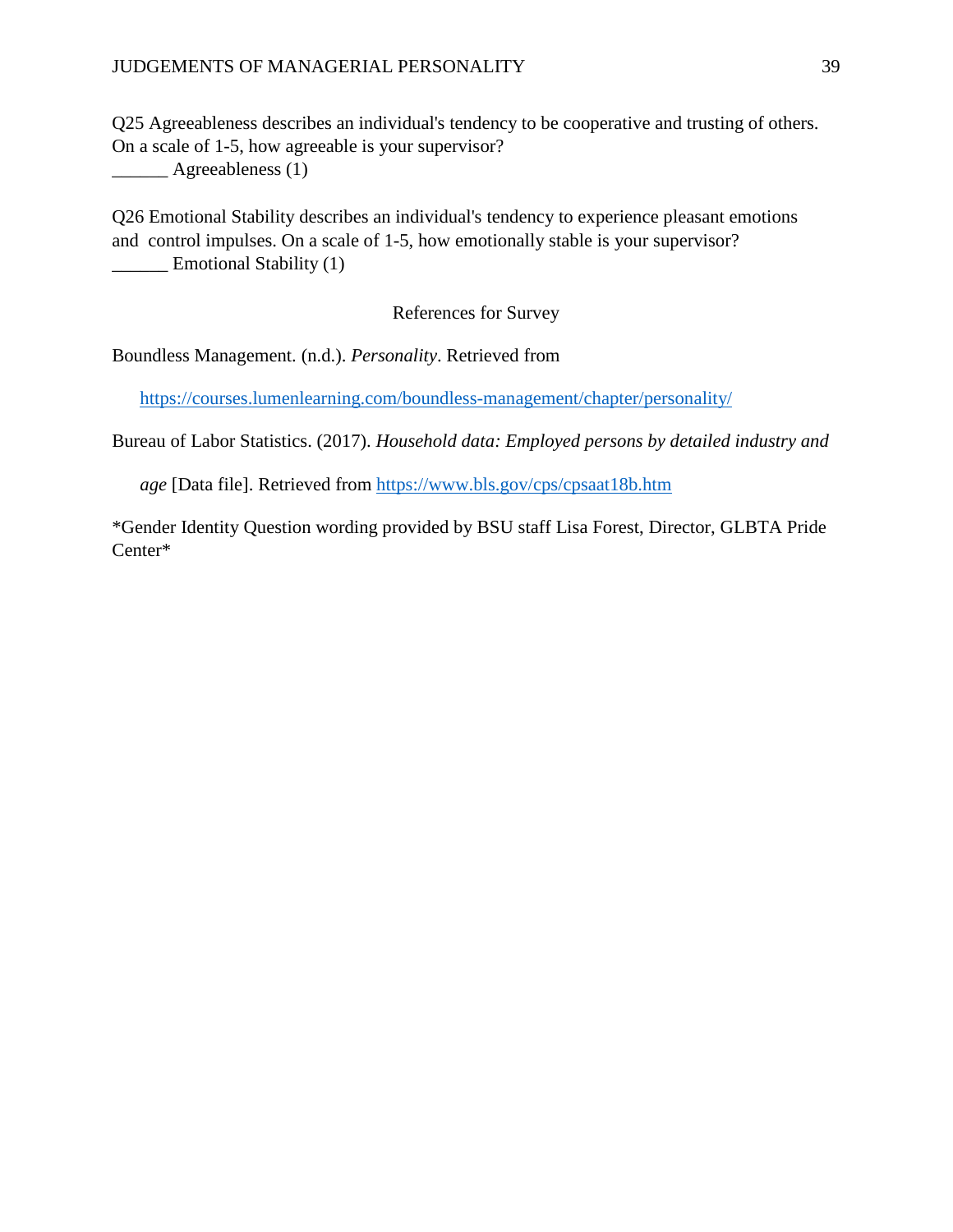# JUDGEMENTS OF MANAGERIAL PERSONALITY 39

Q25 Agreeableness describes an individual's tendency to be cooperative and trusting of others. On a scale of 1-5, how agreeable is your supervisor? **\_\_\_\_\_\_** Agreeableness (1)

Q26 Emotional Stability describes an individual's tendency to experience pleasant emotions and control impulses. On a scale of 1-5, how emotionally stable is your supervisor? **Emotional Stability (1)** 

# References for Survey

Boundless Management. (n.d.). *Personality*. Retrieved from

<https://courses.lumenlearning.com/boundless-management/chapter/personality/>

Bureau of Labor Statistics. (2017). *Household data: Employed persons by detailed industry and* 

*age* [Data file]. Retrieved from<https://www.bls.gov/cps/cpsaat18b.htm>

\*Gender Identity Question wording provided by BSU staff Lisa Forest, Director, GLBTA Pride Center\*